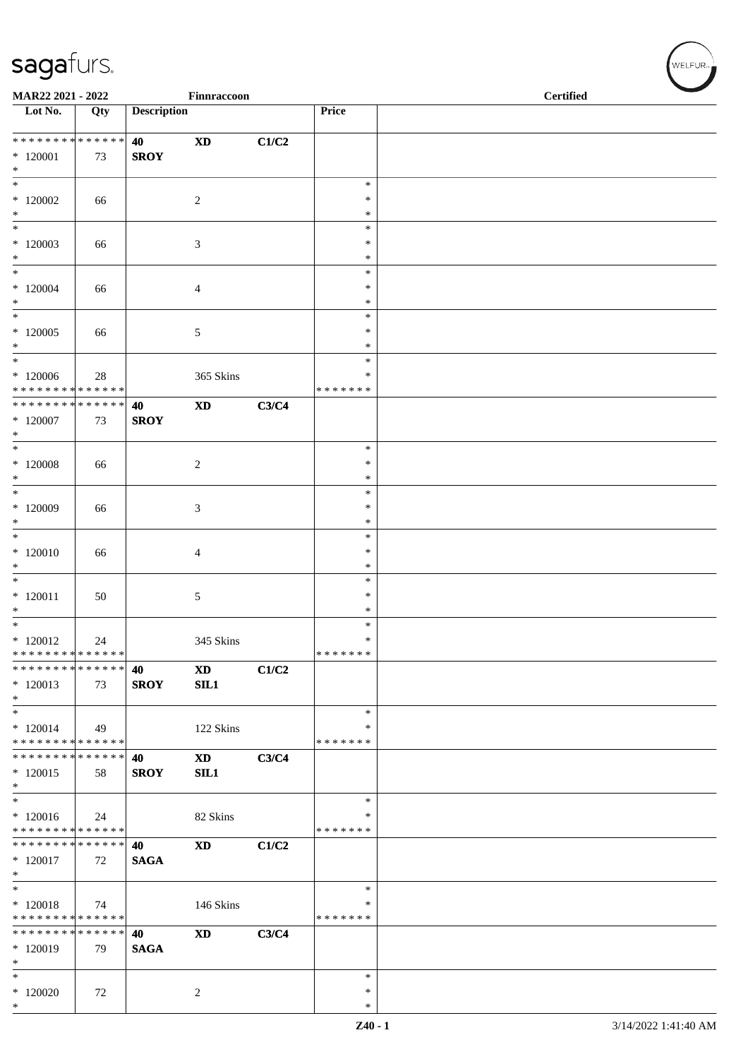| MAR22 2021 - 2022                                            |                   |                    | Finnraccoon                   |       |                    | <b>Certified</b> |
|--------------------------------------------------------------|-------------------|--------------------|-------------------------------|-------|--------------------|------------------|
| $\overline{\phantom{1}}$ Lot No.                             | Qty               | <b>Description</b> |                               |       | Price              |                  |
|                                                              |                   | 40                 | $\boldsymbol{\mathrm{XD}}$    | C1/C2 |                    |                  |
| $*120001$<br>$*$                                             | 73                | <b>SROY</b>        |                               |       |                    |                  |
| $\ast$                                                       |                   |                    |                               |       | $\ast$             |                  |
| $*120002$<br>$*$                                             | 66                |                    | $\sqrt{2}$                    |       | $\ast$<br>$\ast$   |                  |
| $\ast$                                                       |                   |                    |                               |       | $\ast$             |                  |
| $*120003$                                                    | 66                |                    | 3                             |       | $\ast$             |                  |
| $*$<br>$*$                                                   |                   |                    |                               |       | ∗<br>$\ast$        |                  |
| $*120004$                                                    | 66                |                    | 4                             |       | $\ast$             |                  |
| $\ast$                                                       |                   |                    |                               |       | $\ast$             |                  |
| $\overline{\phantom{0}}$                                     |                   |                    |                               |       | $\ast$             |                  |
| $*120005$<br>$*$                                             | 66                |                    | 5                             |       | ∗<br>$\ast$        |                  |
| $*$                                                          |                   |                    |                               |       | $\ast$             |                  |
| $*120006$                                                    | 28                |                    | 365 Skins                     |       | ∗                  |                  |
| * * * * * * * * * * * * * *<br>* * * * * * * * * * * * * * * |                   |                    |                               |       | * * * * * * *      |                  |
| $*120007$                                                    | 73                | 40<br><b>SROY</b>  | $\mathbf{X}\mathbf{D}$        | C3/C4 |                    |                  |
| $*$                                                          |                   |                    |                               |       |                    |                  |
| $*$                                                          |                   |                    |                               |       | $\ast$             |                  |
| $*$ 120008<br>$*$                                            | 66                |                    | $\boldsymbol{2}$              |       | $\ast$<br>$\ast$   |                  |
| $*$                                                          |                   |                    |                               |       | $\ast$             |                  |
| $*120009$                                                    | 66                |                    | 3                             |       | $\ast$             |                  |
| $*$                                                          |                   |                    |                               |       | $\ast$             |                  |
| $*$<br>$*120010$                                             | 66                |                    | 4                             |       | $\ast$<br>$\ast$   |                  |
| $\ast$                                                       |                   |                    |                               |       | $\ast$             |                  |
| $\ast$                                                       |                   |                    |                               |       | $\ast$             |                  |
| $*120011$<br>$\ast$                                          | 50                |                    | 5                             |       | ∗<br>$\ast$        |                  |
| $*$                                                          |                   |                    |                               |       | $\ast$             |                  |
| $*120012$                                                    | 24                |                    | 345 Skins                     |       | $\ast$             |                  |
| * * * * * * * * * * * * * *                                  |                   |                    |                               |       | *******            |                  |
| * * * * * * *<br>$*120013$                                   | * * * * * *<br>73 | 40<br><b>SROY</b>  | $\mathbf{X}\mathbf{D}$<br>SL1 | C1/C2 |                    |                  |
| $*$                                                          |                   |                    |                               |       |                    |                  |
| $\ast$                                                       |                   |                    |                               |       | $\ast$             |                  |
| $*120014$<br>* * * * * * * * * * * * * *                     | 49                |                    | 122 Skins                     |       | ∗<br>* * * * * * * |                  |
| * * * * * * * * * * * * * *                                  |                   | 40                 | <b>XD</b>                     | C3/C4 |                    |                  |
| $*120015$                                                    | 58                | <b>SROY</b>        | SL1                           |       |                    |                  |
| $*$                                                          |                   |                    |                               |       |                    |                  |
| $*$<br>$*120016$                                             | 24                |                    | 82 Skins                      |       | $\ast$<br>∗        |                  |
| * * * * * * * * * * * * * *                                  |                   |                    |                               |       | * * * * * * *      |                  |
| * * * * * * * * * * * * * *                                  |                   | 40                 | $\mathbf{X}\mathbf{D}$        | C1/C2 |                    |                  |
| * 120017<br>$\ast$                                           | 72                | <b>SAGA</b>        |                               |       |                    |                  |
| $\overline{\phantom{0}}$                                     |                   |                    |                               |       | $\ast$             |                  |
| $* 120018$                                                   | 74                |                    | 146 Skins                     |       | ∗                  |                  |
| * * * * * * * * * * * * * *                                  |                   |                    |                               |       | * * * * * * *      |                  |
| * * * * * * * * * * * * * *<br>$*120019$                     | 79                | 40<br><b>SAGA</b>  | $\boldsymbol{\mathrm{XD}}$    | C3/C4 |                    |                  |
| $\ast$                                                       |                   |                    |                               |       |                    |                  |
| $\ast$                                                       |                   |                    |                               |       | $\ast$             |                  |
| $*120020$<br>$*$                                             | 72                |                    | $\overline{c}$                |       | $\ast$<br>$\ast$   |                  |
|                                                              |                   |                    |                               |       |                    |                  |

 $(w$ elfur $_{\approx}$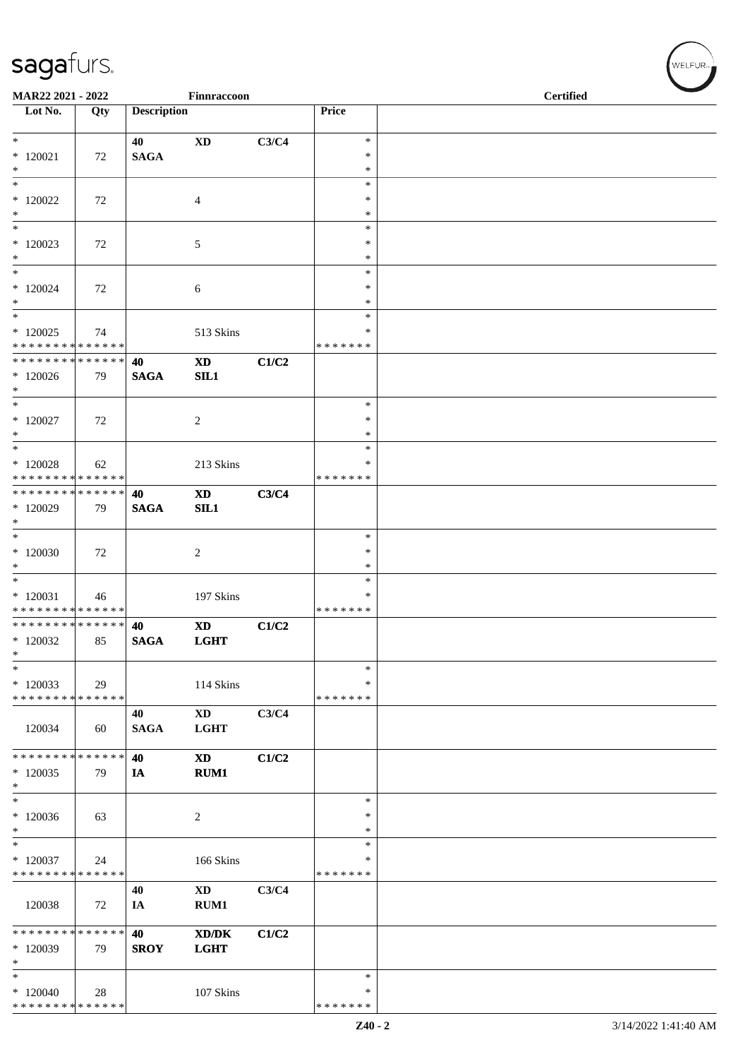| MAR22 2021 - 2022                                                         |     |                    | Finnraccoon                           |       |                                   | <b>Certified</b> |  |
|---------------------------------------------------------------------------|-----|--------------------|---------------------------------------|-------|-----------------------------------|------------------|--|
| $\overline{\phantom{1}}$ Lot No.                                          | Qty | <b>Description</b> |                                       |       | Price                             |                  |  |
| $*$<br>$*120021$                                                          | 72  | 40<br><b>SAGA</b>  | $\boldsymbol{\mathrm{XD}}$            | C3/C4 | $\ast$<br>$\ast$                  |                  |  |
| $*$<br>$_{*}^{-}$<br>$*120022$                                            | 72  |                    | 4                                     |       | $\ast$<br>$\ast$<br>$\ast$        |                  |  |
| $*$<br>$\ast$<br>$*120023$                                                | 72  |                    | 5                                     |       | $\ast$<br>$\ast$<br>$\ast$        |                  |  |
| $*$<br>$\overline{\ast}$<br>$*$ 120024                                    | 72  |                    | 6                                     |       | $\ast$<br>$\ast$<br>∗             |                  |  |
| $*$<br>$\overline{\ast}$                                                  |     |                    |                                       |       | $\ast$<br>$\ast$                  |                  |  |
| $*120025$<br>* * * * * * * * * * * * * *<br>* * * * * * * * * * * * * * * | 74  | 40                 | 513 Skins<br>$\mathbf{X}\mathbf{D}$   | C1/C2 | ∗<br>* * * * * * *                |                  |  |
| $*120026$<br>$*$<br>$*$                                                   | 79  | $\mathbf{SAGA}$    | SL1                                   |       | $\ast$                            |                  |  |
| $*$ 120027<br>$*$<br>$*$                                                  | 72  |                    | $\overline{c}$                        |       | ∗<br>$\ast$<br>$\ast$             |                  |  |
| $*120028$<br>* * * * * * * * * * * * * *                                  | 62  |                    | 213 Skins                             |       | $\ast$<br>* * * * * * *           |                  |  |
| ******** <mark>******</mark><br>$*120029$<br>$\ast$                       | 79  | 40<br><b>SAGA</b>  | <b>XD</b><br>SL1                      | C3/C4 |                                   |                  |  |
| $*$<br>$*120030$<br>$\ast$                                                | 72  |                    | 2                                     |       | $\ast$<br>∗<br>$\ast$             |                  |  |
| $\overline{\phantom{0}}$<br>$*120031$<br>* * * * * * * * * * * * * *      | 46  |                    | 197 Skins                             |       | $\ast$<br>$\ast$<br>* * * * * * * |                  |  |
| ******** <mark>******</mark><br>$*120032$<br>$\ast$                       | 85  | 40<br><b>SAGA</b>  | <b>XD</b><br><b>LGHT</b>              | C1/C2 |                                   |                  |  |
| $\ast$<br>$*120033$<br>* * * * * * * * * * * * * *                        | 29  |                    | 114 Skins                             |       | $\ast$<br>∗<br>* * * * * * *      |                  |  |
| 120034                                                                    | 60  | 40<br><b>SAGA</b>  | $\mathbf{X}\mathbf{D}$<br><b>LGHT</b> | C3/C4 |                                   |                  |  |
| * * * * * * * * * * * * * *<br>$*120035$<br>$\ast$                        | 79  | 40<br>IA           | <b>XD</b><br><b>RUM1</b>              | C1/C2 |                                   |                  |  |
| $*$<br>$*120036$<br>$\ast$                                                | 63  |                    | 2                                     |       | $\ast$<br>$\ast$<br>∗             |                  |  |
| $\frac{1}{*}$<br>$*120037$<br>* * * * * * * * * * * * * *                 | 24  |                    | 166 Skins                             |       | $\ast$<br>$\ast$<br>* * * * * * * |                  |  |
| 120038                                                                    | 72  | 40<br>IA           | <b>XD</b><br>RUM1                     | C3/C4 |                                   |                  |  |
| * * * * * * * * * * * * * *<br>$*120039$<br>$\ast$                        | 79  | 40<br><b>SROY</b>  | XD/DK<br><b>LGHT</b>                  | C1/C2 |                                   |                  |  |
| $\ast$<br>$*120040$<br>******** <mark>******</mark>                       | 28  |                    | 107 Skins                             |       | $\ast$<br>$\ast$<br>* * * * * * * |                  |  |

 $w$ ELFUR<sub>m</sub>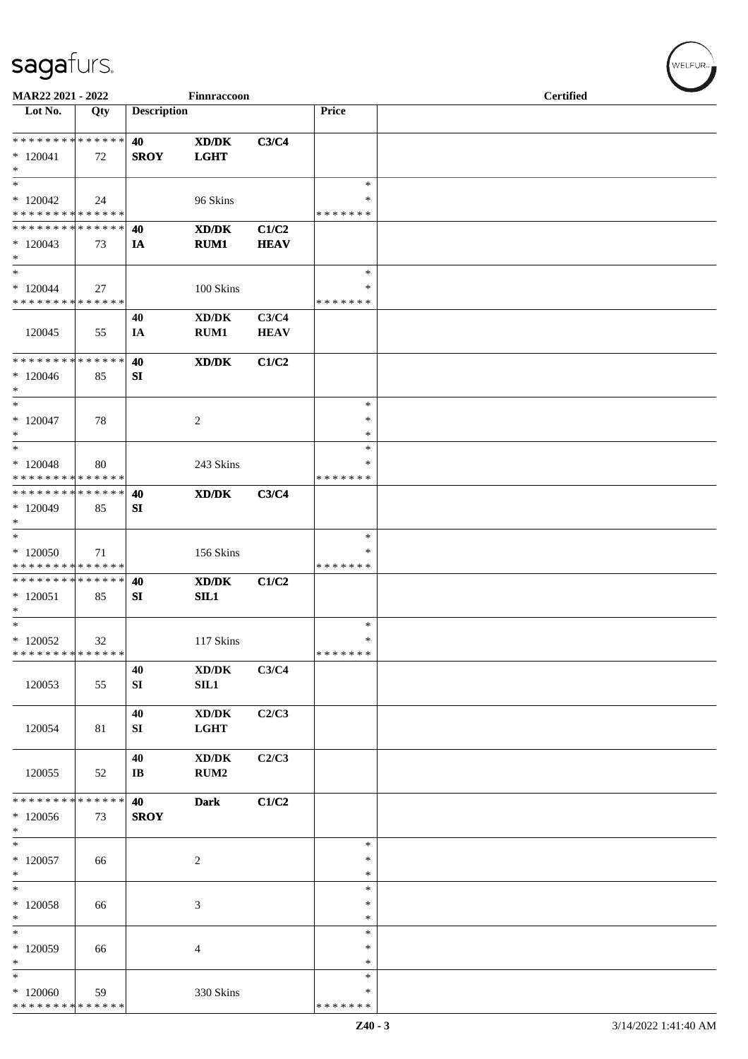| MAR22 2021 - 2022                                                              |     |                              | Finnraccoon                                                |                      |                                      | <b>Certified</b> |  |  |
|--------------------------------------------------------------------------------|-----|------------------------------|------------------------------------------------------------|----------------------|--------------------------------------|------------------|--|--|
| Lot No.                                                                        | Qty | <b>Description</b>           |                                                            |                      | Price                                |                  |  |  |
| * * * * * * * * * * * * * *<br>$*120041$<br>$\ast$                             | 72  | 40<br><b>SROY</b>            | $\mathbf{X}\mathbf{D}/\mathbf{D}\mathbf{K}$<br><b>LGHT</b> | C3/C4                |                                      |                  |  |  |
| $\ast$<br>$*120042$<br>* * * * * * * * * * * * * *                             | 24  |                              | 96 Skins                                                   |                      | $\ast$<br>∗<br>* * * * * * *         |                  |  |  |
| * * * * * * * * * * * * * *<br>$*120043$<br>$\ast$                             | 73  | 40<br>IA                     | XD/DK<br>RUM1                                              | C1/C2<br><b>HEAV</b> |                                      |                  |  |  |
| $\ast$<br>$*120044$<br>* * * * * * * * * * * * * *                             | 27  |                              | 100 Skins                                                  |                      | $\ast$<br>∗<br>* * * * * * *         |                  |  |  |
| 120045                                                                         | 55  | 40<br>IA                     | $\bold{X}\bold{D}/\bold{D}\bold{K}$<br>RUM1                | C3/C4<br><b>HEAV</b> |                                      |                  |  |  |
| * * * * * * * * * * * * * *<br>$*120046$<br>$\ast$                             | 85  | 40<br>SI                     | XD/DK                                                      | C1/C2                |                                      |                  |  |  |
| $\ast$<br>$*120047$<br>$\ast$<br>$\ast$                                        | 78  |                              | $\overline{2}$                                             |                      | $\ast$<br>$\ast$<br>$\ast$<br>$\ast$ |                  |  |  |
| $*120048$<br>* * * * * * * * * * * * * *                                       | 80  |                              | 243 Skins                                                  |                      | ∗<br>* * * * * * *                   |                  |  |  |
| * * * * * * * * * * * * * *<br>$*120049$<br>$\ast$                             | 85  | 40<br>SI                     | $\mathbf{X}\mathbf{D}/\mathbf{D}\mathbf{K}$                | C3/C4                |                                      |                  |  |  |
| $\ast$<br>$*120050$<br>* * * * * * * * * * * * * *                             | 71  |                              | 156 Skins                                                  |                      | $\ast$<br>$\ast$<br>* * * * * * *    |                  |  |  |
| * * * * * * * * * * * * * *<br>$*120051$<br>$\ast$                             | 85  | 40<br>${\bf SI}$             | XD/DK<br>SIL1                                              | C1/C2                |                                      |                  |  |  |
| $\ast$<br>$*120052$<br>* * * * * * * * * * * * * *                             | 32  |                              | 117 Skins                                                  |                      | $\ast$<br>$\ast$<br>* * * * * * *    |                  |  |  |
| 120053                                                                         | 55  | 40<br>SI                     | $\boldsymbol{\text{XD} / \text{DK}}$<br>SL1                | C3/C4                |                                      |                  |  |  |
| 120054                                                                         | 81  | 40<br>SI                     | $\bold{X}\bold{D}/\bold{D}\bold{K}$<br>LGHT                | C2/C3                |                                      |                  |  |  |
| 120055                                                                         | 52  | 40<br>$\mathbf{I}\mathbf{B}$ | $\bold{X}\bold{D}/\bold{D}\bold{K}$<br>RUM2                | C2/C3                |                                      |                  |  |  |
| * * * * * * * * * * * * * *<br>$*120056$<br>$\ast$<br>$\overline{\phantom{a}}$ | 73  | 40<br><b>SROY</b>            | <b>Dark</b>                                                | C1/C2                |                                      |                  |  |  |
| $*120057$<br>$\ast$                                                            | 66  |                              | $\overline{2}$                                             |                      | $\ast$<br>∗<br>$\ast$                |                  |  |  |
| $\ast$<br>$*$ 120058<br>$\ast$                                                 | 66  |                              | $\mathfrak{Z}$                                             |                      | $\ast$<br>$\ast$<br>$\ast$           |                  |  |  |
| $\ast$<br>$*120059$<br>$\ast$                                                  | 66  |                              | 4                                                          |                      | $\ast$<br>$\ast$<br>$\ast$           |                  |  |  |
| $\ast$<br>$*120060$<br>* * * * * * * * * * * * * *                             | 59  |                              | 330 Skins                                                  |                      | $\ast$<br>∗<br>* * * * * * *         |                  |  |  |

WELFUR<sub>"</sub>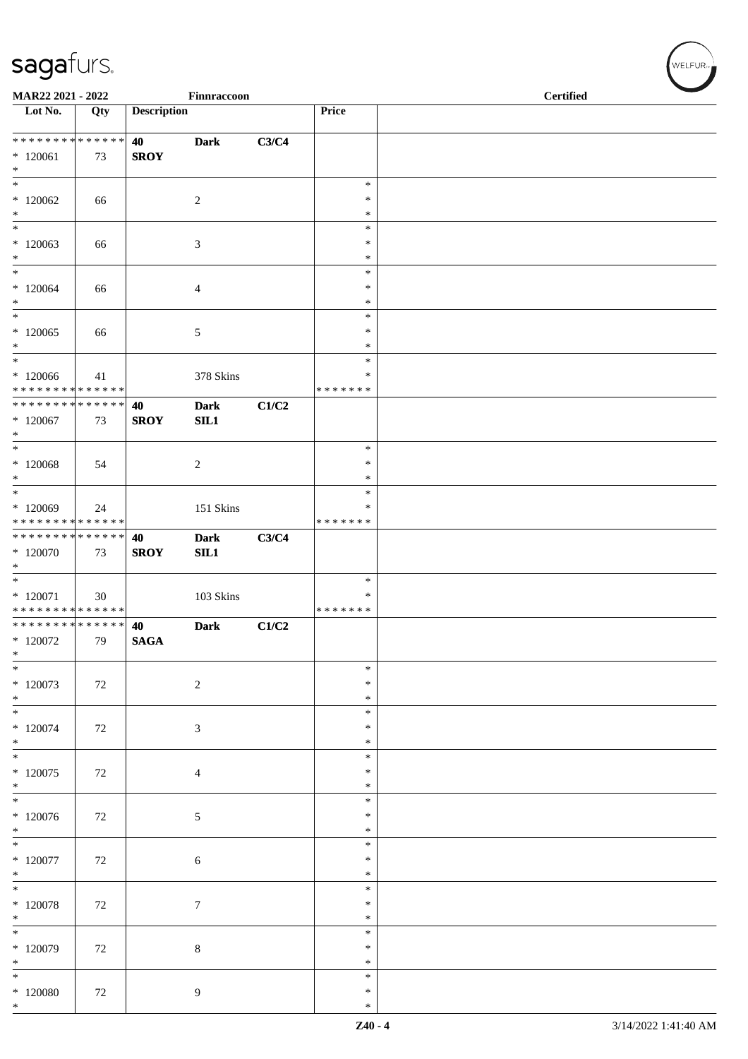| MAR22 2021 - 2022                                                    |     |                    | Finnraccoon        |       |                                   | <b>Certified</b> |  |  |
|----------------------------------------------------------------------|-----|--------------------|--------------------|-------|-----------------------------------|------------------|--|--|
| Lot No.                                                              | Qty | <b>Description</b> |                    |       | Price                             |                  |  |  |
| ******** <mark>******</mark><br>$*120061$                            | 73  | 40<br><b>SROY</b>  | <b>Dark</b>        | C3/C4 |                                   |                  |  |  |
| $\ast$<br>$\ast$                                                     |     |                    |                    |       | $\ast$<br>$\ast$                  |                  |  |  |
| $*120062$<br>$\ast$<br>$\ast$                                        | 66  |                    | $\boldsymbol{2}$   |       | $\ast$<br>$\ast$                  |                  |  |  |
| $*120063$<br>$\ast$                                                  | 66  |                    | $\mathfrak{Z}$     |       | $\ast$<br>$\ast$                  |                  |  |  |
| $\ast$<br>$*120064$<br>$\ast$                                        | 66  |                    | $\overline{4}$     |       | $\ast$<br>∗<br>$\ast$             |                  |  |  |
| $\ast$<br>$*120065$<br>$*$                                           | 66  |                    | $\mathfrak{S}$     |       | $\ast$<br>$\ast$<br>$\ast$        |                  |  |  |
| $\ast$<br>$*120066$<br>* * * * * * * * * * * * * *                   | 41  |                    | 378 Skins          |       | $\ast$<br>*<br>* * * * * * *      |                  |  |  |
| * * * * * * * * * * * * * * *<br>$*120067$<br>$*$                    | 73  | 40<br><b>SROY</b>  | <b>Dark</b><br>SL1 | C1/C2 |                                   |                  |  |  |
| $\ast$<br>$*120068$<br>$*$                                           | 54  |                    | $\sqrt{2}$         |       | $\ast$<br>$\ast$<br>$\ast$        |                  |  |  |
| $\ast$<br>$*120069$<br>* * * * * * * * * * * * * *                   | 24  |                    | 151 Skins          |       | $\ast$<br>*<br>* * * * * * *      |                  |  |  |
| * * * * * * * * * * * * * * *<br>$*120070$<br>$\ast$                 | 73  | 40<br><b>SROY</b>  | <b>Dark</b><br>SL1 | C3/C4 |                                   |                  |  |  |
| $\overline{\phantom{0}}$<br>$*120071$<br>* * * * * * * * * * * * * * | 30  |                    | 103 Skins          |       | $\ast$<br>$\ast$<br>* * * * * * * |                  |  |  |
| **************<br>$*120072$<br>$\ast$                                | 79  | 40<br><b>SAGA</b>  | <b>Dark</b>        | C1/C2 |                                   |                  |  |  |
| $*$<br>$*120073$<br>$*$                                              | 72  |                    | $\sqrt{2}$         |       | $\ast$<br>∗<br>$\ast$             |                  |  |  |
| $\ast$<br>$*120074$<br>$*$                                           | 72  |                    | $\mathfrak{Z}$     |       | $\ast$<br>$\ast$<br>$\ast$        |                  |  |  |
| $\ast$<br>$*120075$<br>$*$                                           | 72  |                    | $\overline{4}$     |       | $\ast$<br>$\ast$<br>$\ast$        |                  |  |  |
| $*$<br>$*120076$<br>$\ast$                                           | 72  |                    | $5\,$              |       | $\ast$<br>*<br>∗                  |                  |  |  |
| $\ast$<br>$*120077$<br>$*$                                           | 72  |                    | $\sqrt{6}$         |       | $\ast$<br>∗<br>$\ast$             |                  |  |  |
| $\overline{\ast}$<br>$*$ 120078<br>$\ast$                            | 72  |                    | $\tau$             |       | $\ast$<br>$\ast$<br>$\ast$        |                  |  |  |
| $*$<br>$*120079$<br>$\ast$                                           | 72  |                    | $8\,$              |       | $\ast$<br>$\ast$<br>∗             |                  |  |  |
| $\ast$<br>$\hspace{-1.5mm}^*$ 120080<br>$\ast$                       | 72  |                    | 9                  |       | $\ast$<br>∗<br>$\ast$             |                  |  |  |

 $w$ ELFUR<sub>m</sub>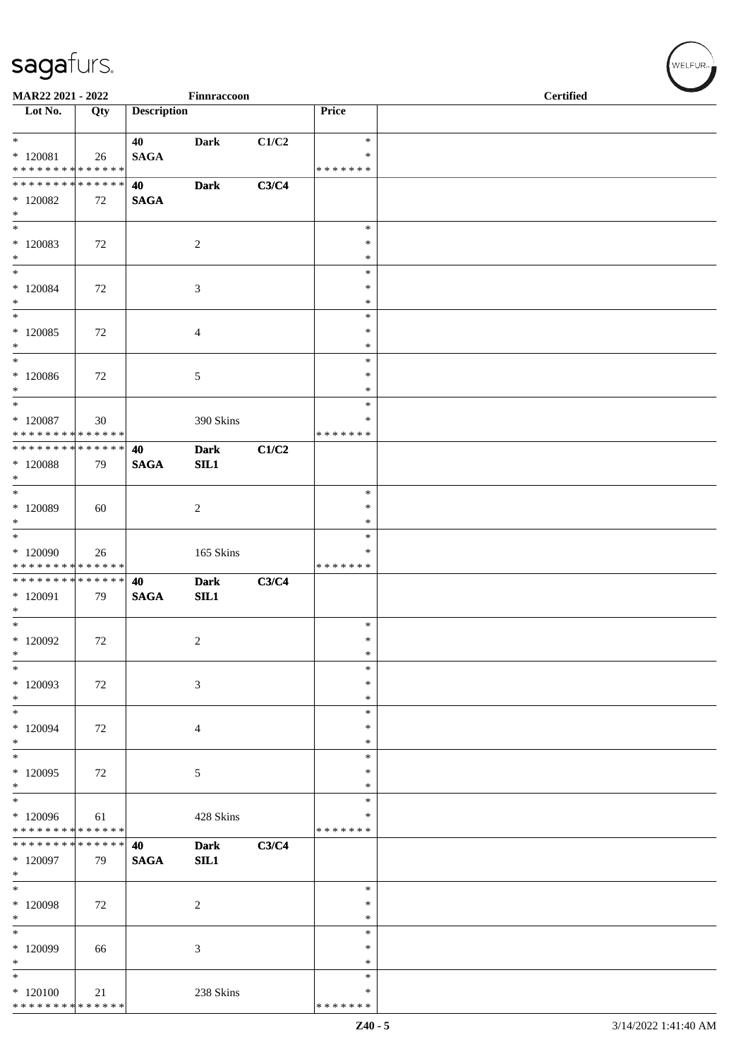| MAR22 2021 - 2022                  |     |                    | Finnraccoon    |       |                  | <b>Certified</b> |
|------------------------------------|-----|--------------------|----------------|-------|------------------|------------------|
| Lot No.                            | Qty | <b>Description</b> |                |       | Price            |                  |
| $*$                                |     | 40                 | <b>Dark</b>    | C1/C2 | $\ast$           |                  |
| $*$ 120081                         | 26  | <b>SAGA</b>        |                |       | $\ast$           |                  |
| * * * * * * * * * * * * * *        |     |                    |                |       | * * * * * * *    |                  |
| * * * * * * * * * * * * * *        |     | 40                 | <b>Dark</b>    | C3/C4 |                  |                  |
| $*120082$<br>$\ast$                | 72  | <b>SAGA</b>        |                |       |                  |                  |
| $\ast$                             |     |                    |                |       | $\ast$           |                  |
| $*120083$                          | 72  |                    | $\overline{c}$ |       | $\ast$           |                  |
| $*$                                |     |                    |                |       | $\ast$           |                  |
| $*$                                |     |                    |                |       | $\ast$           |                  |
| $*120084$                          | 72  |                    | 3              |       | $\ast$           |                  |
| $*$                                |     |                    |                |       | $\ast$           |                  |
| $*$                                |     |                    |                |       | $\ast$           |                  |
| $*120085$                          | 72  |                    | 4              |       | $\ast$           |                  |
| $*$<br>$*$                         |     |                    |                |       | $\ast$<br>$\ast$ |                  |
| $*120086$                          | 72  |                    | 5              |       | $\ast$           |                  |
| $*$                                |     |                    |                |       | $\ast$           |                  |
| $*$                                |     |                    |                |       | $\ast$           |                  |
| $*$ 120087                         | 30  |                    | 390 Skins      |       | ∗                |                  |
| * * * * * * * * * * * * * *        |     |                    |                |       | * * * * * * *    |                  |
| * * * * * * * * * * * * * * *      |     | 40                 | <b>Dark</b>    | C1/C2 |                  |                  |
| $*$ 120088                         | 79  | <b>SAGA</b>        | SL1            |       |                  |                  |
| $\ast$<br>$\overline{\phantom{0}}$ |     |                    |                |       |                  |                  |
|                                    |     |                    |                |       | $\ast$<br>∗      |                  |
| $*120089$<br>$\ast$                | 60  |                    | $\overline{c}$ |       | $\ast$           |                  |
| $\overline{\phantom{0}}$           |     |                    |                |       | $\ast$           |                  |
| $*120090$                          | 26  |                    | 165 Skins      |       | $\ast$           |                  |
| * * * * * * * * * * * * * *        |     |                    |                |       | * * * * * * *    |                  |
| ******** <mark>******</mark>       |     | 40                 | <b>Dark</b>    | C3/C4 |                  |                  |
| $*120091$                          | 79  | <b>SAGA</b>        | SL1            |       |                  |                  |
| $\ast$                             |     |                    |                |       |                  |                  |
| $*$                                |     |                    |                |       | $\ast$<br>$\ast$ |                  |
| $*120092$<br>$\ast$                | 72  |                    | $\overline{c}$ |       | $\ast$           |                  |
| $\ast$                             |     |                    |                |       | $\ast$           |                  |
| $*120093$                          | 72  |                    | 3              |       | $\ast$           |                  |
| $*$                                |     |                    |                |       | $\ast$           |                  |
| $\ast$                             |     |                    |                |       | ∗                |                  |
| * 120094                           | 72  |                    | 4              |       | $\ast$           |                  |
| $\ast$                             |     |                    |                |       | $\ast$           |                  |
| $\ast$                             |     |                    |                |       | $\ast$           |                  |
| $*120095$<br>$*$                   | 72  |                    | 5              |       | ∗<br>$\ast$      |                  |
| $\overline{\phantom{1}}$           |     |                    |                |       | $\ast$           |                  |
| $*120096$                          | 61  |                    | 428 Skins      |       | ∗                |                  |
| * * * * * * * * * * * * * *        |     |                    |                |       | * * * * * * *    |                  |
| * * * * * * * * * * * * * *        |     | 40                 | <b>Dark</b>    | C3/C4 |                  |                  |
| $*120097$                          | 79  | <b>SAGA</b>        | SL1            |       |                  |                  |
| $*$                                |     |                    |                |       |                  |                  |
| $\ast$                             |     |                    |                |       | $\ast$           |                  |
| $*120098$                          | 72  |                    | $\overline{c}$ |       | $\ast$           |                  |
| $\ast$<br>$\ast$                   |     |                    |                |       | $\ast$<br>$\ast$ |                  |
| * 120099                           | 66  |                    | 3              |       | $\ast$           |                  |
| $\ast$                             |     |                    |                |       | $\ast$           |                  |
| $\ast$                             |     |                    |                |       | ∗                |                  |
| $*120100$                          | 21  |                    | 238 Skins      |       | ∗                |                  |
| * * * * * * * * * * * * * *        |     |                    |                |       | * * * * * * *    |                  |

WELFUR<sub>"</sub>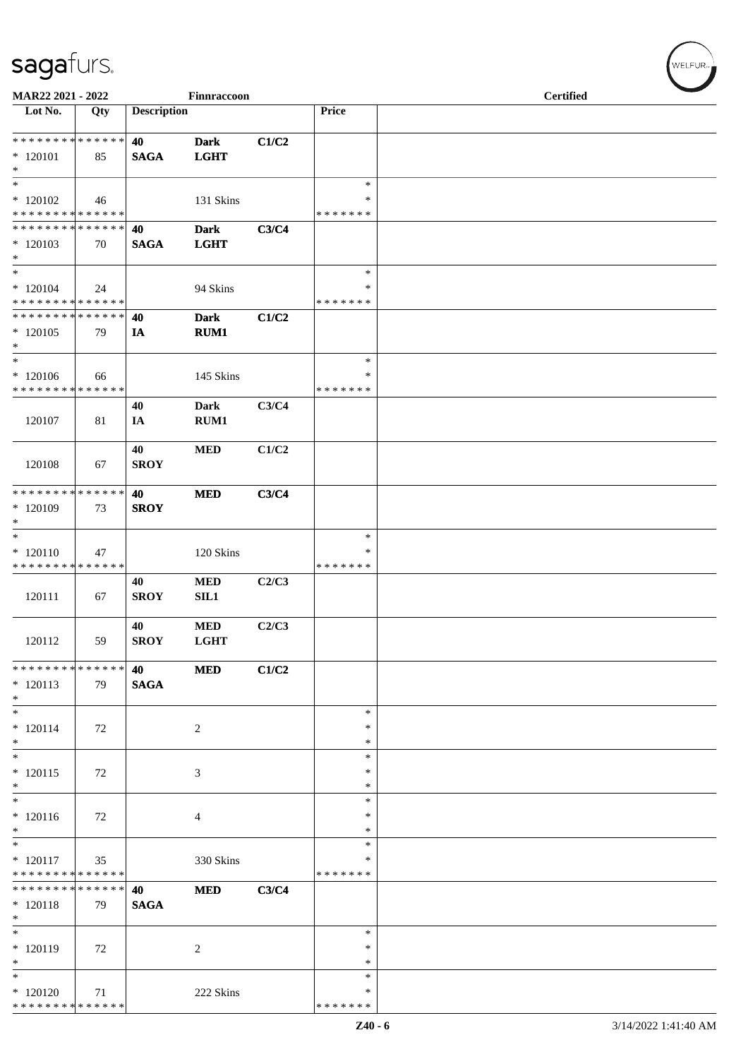| MAR22 2021 - 2022                                                                |     |                    | Finnraccoon                |       |                                   | <b>Certified</b> |  |
|----------------------------------------------------------------------------------|-----|--------------------|----------------------------|-------|-----------------------------------|------------------|--|
| Lot No.                                                                          | Qty | <b>Description</b> |                            |       | Price                             |                  |  |
| ******** <mark>******</mark><br>$*120101$<br>$\ast$                              | 85  | 40<br><b>SAGA</b>  | <b>Dark</b><br><b>LGHT</b> | C1/C2 |                                   |                  |  |
| $\ast$<br>$*120102$<br>* * * * * * * * * * * * * *                               | 46  |                    | 131 Skins                  |       | $\ast$<br>∗<br>* * * * * * *      |                  |  |
| * * * * * * * * * * * * * *<br>$*120103$<br>$\ast$                               | 70  | 40<br><b>SAGA</b>  | <b>Dark</b><br><b>LGHT</b> | C3/C4 |                                   |                  |  |
| $\ast$<br>$*120104$<br>* * * * * * * * * * * * * *                               | 24  |                    | 94 Skins                   |       | $\ast$<br>∗<br>* * * * * * *      |                  |  |
| * * * * * * * * * * * * * *<br>$*120105$<br>$\ast$<br>$\overline{\phantom{a}^*}$ | 79  | 40<br>IA           | <b>Dark</b><br>RUM1        | C1/C2 |                                   |                  |  |
| $*120106$<br>* * * * * * * * * * * * * *                                         | 66  |                    | 145 Skins                  |       | $\ast$<br>$\ast$<br>* * * * * * * |                  |  |
| 120107                                                                           | 81  | 40<br>IA           | <b>Dark</b><br>RUM1        | C3/C4 |                                   |                  |  |
| 120108                                                                           | 67  | 40<br><b>SROY</b>  | <b>MED</b>                 | C1/C2 |                                   |                  |  |
| * * * * * * * * * * * * * *<br>$*120109$<br>$\ast$                               | 73  | 40<br><b>SROY</b>  | <b>MED</b>                 | C3/C4 |                                   |                  |  |
| $\ast$<br>$*120110$<br>* * * * * * * * * * * * * *                               | 47  |                    | 120 Skins                  |       | $\ast$<br>$\ast$<br>* * * * * * * |                  |  |
| 120111                                                                           | 67  | 40<br><b>SROY</b>  | <b>MED</b><br>SL1          | C2/C3 |                                   |                  |  |
| 120112                                                                           | 59  | 40<br><b>SROY</b>  | $\bf MED$<br><b>LGHT</b>   | C2/C3 |                                   |                  |  |
| **************<br>$*120113$<br>$*$                                               | 79  | 40<br><b>SAGA</b>  | <b>MED</b>                 | C1/C2 |                                   |                  |  |
| $\ast$<br>$* 120114$<br>$*$<br>$\overline{\ast}$                                 | 72  |                    | $\overline{2}$             |       | $\ast$<br>$\ast$<br>∗             |                  |  |
| $* 120115$<br>$\ast$<br>$\overline{\ast}$                                        | 72  |                    | 3                          |       | $\ast$<br>$\ast$<br>$\ast$        |                  |  |
| $*120116$<br>$\ast$<br>$\overline{\phantom{a}^*}$                                | 72  |                    | 4                          |       | $\ast$<br>∗<br>$\ast$             |                  |  |
| $* 120117$<br>* * * * * * * * * * * * * *                                        | 35  |                    | 330 Skins                  |       | $\ast$<br>*<br>* * * * * * *      |                  |  |
| * * * * * * * * * * * * * *<br>$* 120118$<br>$\ast$                              | 79  | 40<br><b>SAGA</b>  | <b>MED</b>                 | C3/C4 |                                   |                  |  |
| $\ast$<br>$*120119$<br>$\ast$                                                    | 72  |                    | $\overline{2}$             |       | $\ast$<br>$\ast$<br>$\ast$        |                  |  |
| $\ast$<br>$*120120$<br>* * * * * * * * * * * * * *                               | 71  |                    | 222 Skins                  |       | $\ast$<br>*<br>* * * * * * *      |                  |  |

WELFUR-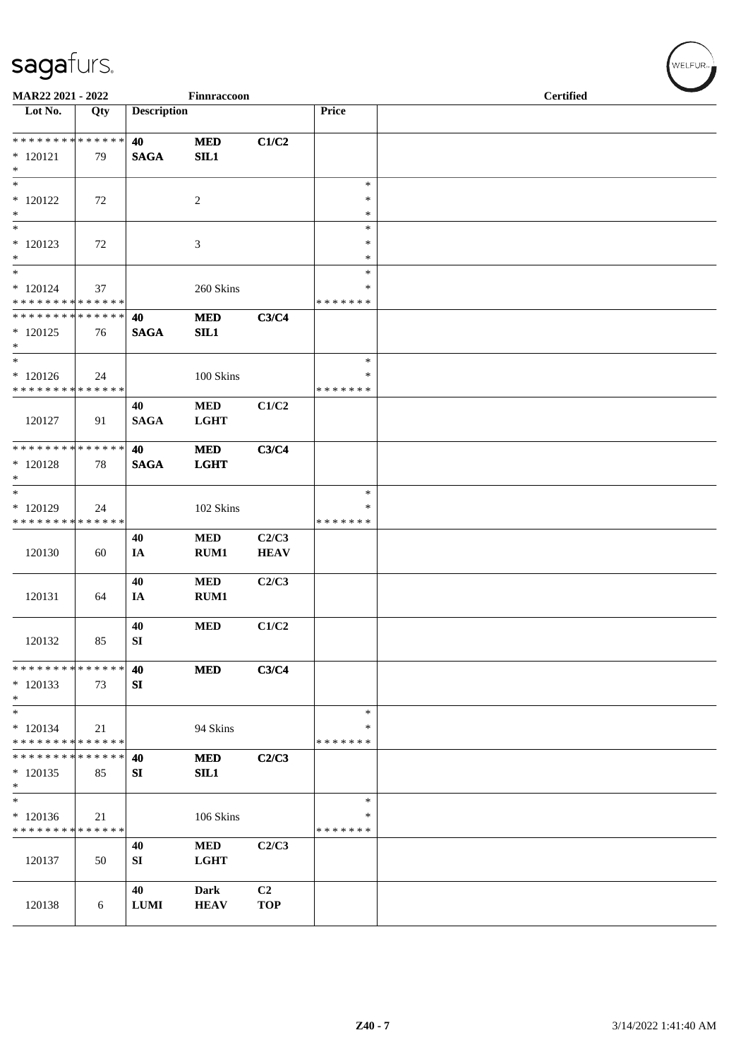| MAR22 2021 - 2022                                         |     |                    | Finnraccoon               |                              |                                   | <b>Certified</b> |
|-----------------------------------------------------------|-----|--------------------|---------------------------|------------------------------|-----------------------------------|------------------|
| Lot No.                                                   | Qty | <b>Description</b> |                           |                              | Price                             |                  |
| ******** <mark>******</mark><br>$*120121$<br>$\ast$       | 79  | 40<br><b>SAGA</b>  | <b>MED</b><br>SL1         | C1/C2                        |                                   |                  |
| $\overline{\phantom{0}}$<br>$*120122$<br>$\ast$           | 72  |                    | $\sqrt{2}$                |                              | $\ast$<br>$\ast$<br>$\ast$        |                  |
| $\ast$<br>$*120123$<br>$\ast$                             | 72  |                    | 3                         |                              | $\ast$<br>$\ast$<br>$\ast$        |                  |
| $\ast$<br>$*120124$<br>* * * * * * * * * * * * * *        | 37  |                    | 260 Skins                 |                              | $\ast$<br>$\ast$<br>* * * * * * * |                  |
| * * * * * * * * * * * * * *<br>$*120125$<br>$*$           | 76  | 40<br><b>SAGA</b>  | <b>MED</b><br>SL1         | C3/C4                        |                                   |                  |
| $*$<br>$*120126$<br>* * * * * * * * * * * * * *           | 24  |                    | 100 Skins                 |                              | $\ast$<br>*<br>* * * * * * *      |                  |
| 120127                                                    | 91  | 40<br><b>SAGA</b>  | <b>MED</b><br><b>LGHT</b> | C1/C2                        |                                   |                  |
| * * * * * * * * * * * * * *<br>$*120128$<br>$*$           | 78  | 40<br><b>SAGA</b>  | <b>MED</b><br><b>LGHT</b> | C3/C4                        |                                   |                  |
| $\ast$<br>$*120129$<br>* * * * * * * * * * * * * *        | 24  |                    | 102 Skins                 |                              | $\ast$<br>*<br>* * * * * * *      |                  |
| 120130                                                    | 60  | 40<br>IA           | $\bf MED$<br>RUM1         | C2/C3<br><b>HEAV</b>         |                                   |                  |
| 120131                                                    | 64  | 40<br>IA           | $\bf MED$<br>RUM1         | C2/C3                        |                                   |                  |
| 120132                                                    | 85  | 40<br>SI           | <b>MED</b>                | C1/C2                        |                                   |                  |
| * * * * * * * * * * * * * *<br>$*120133$<br>$*$<br>$\ast$ | 73  | 40<br>SI           | <b>MED</b>                | C3/C4                        |                                   |                  |
| $*120134$<br>* * * * * * * * * * * * * *                  | 21  |                    | 94 Skins                  |                              | $\ast$<br>∗<br>* * * * * * *      |                  |
| **************<br>$*120135$<br>$*$                        | 85  | 40<br>SI           | <b>MED</b><br>SIL1        | C2/C3                        |                                   |                  |
| $\ast$<br>$*120136$<br>* * * * * * * * * * * * * *        | 21  |                    | 106 Skins                 |                              | $\ast$<br>∗<br>* * * * * * *      |                  |
| 120137                                                    | 50  | 40<br>SI           | $\bf MED$<br><b>LGHT</b>  | C2/C3                        |                                   |                  |
| 120138                                                    | 6   | 40<br><b>LUMI</b>  | Dark<br><b>HEAV</b>       | C <sub>2</sub><br><b>TOP</b> |                                   |                  |

 $(\forall ELFUR_{\approx})$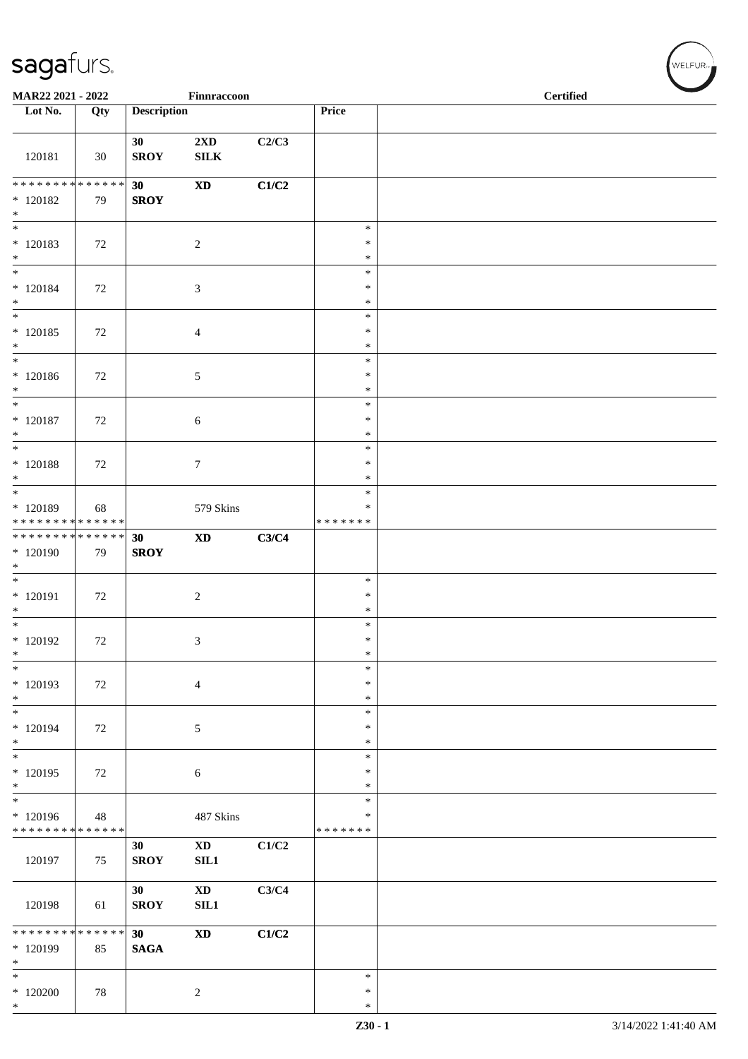| MAR22 2021 - 2022                                                   |        |                    | Finnraccoon                             |       |                                   | <b>Certified</b> |  |  |
|---------------------------------------------------------------------|--------|--------------------|-----------------------------------------|-------|-----------------------------------|------------------|--|--|
| Lot No.                                                             | Qty    | <b>Description</b> |                                         |       | Price                             |                  |  |  |
| 120181                                                              | 30     | 30<br><b>SROY</b>  | $2\mathbf{X}\mathbf{D}$<br>${\bf SILK}$ | C2/C3 |                                   |                  |  |  |
| ******** <mark>******</mark><br>$*120182$                           | 79     | 30<br><b>SROY</b>  | $\boldsymbol{\mathrm{XD}}$              | C1/C2 |                                   |                  |  |  |
| $*$<br>$*$                                                          |        |                    |                                         |       | $\ast$                            |                  |  |  |
| $*120183$<br>$\ast$                                                 | 72     |                    | $\overline{2}$                          |       | $\ast$<br>$\ast$                  |                  |  |  |
| $\ast$<br>$* 120184$<br>$\ast$                                      | 72     |                    | $\mathfrak{Z}$                          |       | $\ast$<br>*<br>$\ast$             |                  |  |  |
| $\overline{\phantom{0}}$<br>$*120185$                               | 72     |                    | $\overline{4}$                          |       | $\ast$<br>$\ast$                  |                  |  |  |
| $\ast$<br>$*$                                                       |        |                    |                                         |       | $\ast$<br>$\ast$                  |                  |  |  |
| $* 120186$<br>$*$                                                   | 72     |                    | $5\,$                                   |       | $\ast$<br>$\ast$                  |                  |  |  |
| $\ast$<br>$*$ 120187<br>$*$                                         | 72     |                    | 6                                       |       | $\ast$<br>$\ast$<br>$\ast$        |                  |  |  |
| $\overline{\phantom{0}}$                                            |        |                    |                                         |       | $\ast$                            |                  |  |  |
| $*$ 120188<br>$*$<br>$*$                                            | 72     |                    | $\boldsymbol{7}$                        |       | $\ast$<br>$\ast$                  |                  |  |  |
| * 120189<br>* * * * * * * * * * * * * *                             | 68     |                    | 579 Skins                               |       | $\ast$<br>$\ast$<br>* * * * * * * |                  |  |  |
| ******** <mark>******</mark>                                        |        | 30                 | $\boldsymbol{\mathrm{XD}}$              | C3/C4 |                                   |                  |  |  |
| * 120190<br>$*$<br>$\overline{\phantom{0}}$                         | 79     | <b>SROY</b>        |                                         |       |                                   |                  |  |  |
| $* 120191$<br>$\ast$                                                | 72     |                    | $\sqrt{2}$                              |       | $\ast$<br>$\ast$<br>$\ast$        |                  |  |  |
| $*$                                                                 |        |                    |                                         |       | $\ast$                            |                  |  |  |
| $*120192$<br>$\ast$                                                 | 72     |                    | $\mathfrak{Z}$                          |       | $\ast$<br>$\ast$                  |                  |  |  |
| $\ast$<br>$*120193$<br>$*$                                          | 72     |                    | $\overline{4}$                          |       | $\ast$<br>*<br>*                  |                  |  |  |
| $\overline{\phantom{0}}$<br>$* 120194$                              | 72     |                    | $\sqrt{5}$                              |       | $\ast$<br>$\ast$                  |                  |  |  |
| $*$<br>$*$                                                          |        |                    |                                         |       | $\ast$<br>$\ast$                  |                  |  |  |
| $*120195$<br>$\ast$                                                 | $72\,$ |                    | $\boldsymbol{6}$                        |       | $\ast$<br>$\ast$                  |                  |  |  |
| $\overline{\phantom{0}}$<br>* 120196<br>* * * * * * * * * * * * * * | 48     |                    | 487 Skins                               |       | $\ast$<br>$\ast$<br>* * * * * * * |                  |  |  |
| 120197                                                              | 75     | 30<br><b>SROY</b>  | $\mathbf{X}\mathbf{D}$<br>SL1           | C1/C2 |                                   |                  |  |  |
| 120198                                                              | 61     | 30<br><b>SROY</b>  | $\mathbf{X}\mathbf{D}$<br>SIL1          | C3/C4 |                                   |                  |  |  |
| * * * * * * * * * * * * * *<br>* 120199<br>$\ast$                   | 85     | 30<br><b>SAGA</b>  | $\boldsymbol{\mathrm{XD}}$              | C1/C2 |                                   |                  |  |  |
| $\overline{\phantom{a}^*}$<br>$*120200$<br>$*$                      | 78     |                    | $\sqrt{2}$                              |       | $\ast$<br>$\ast$<br>$\ast$        |                  |  |  |

 $(\forall ELFUR_{\text{max}})$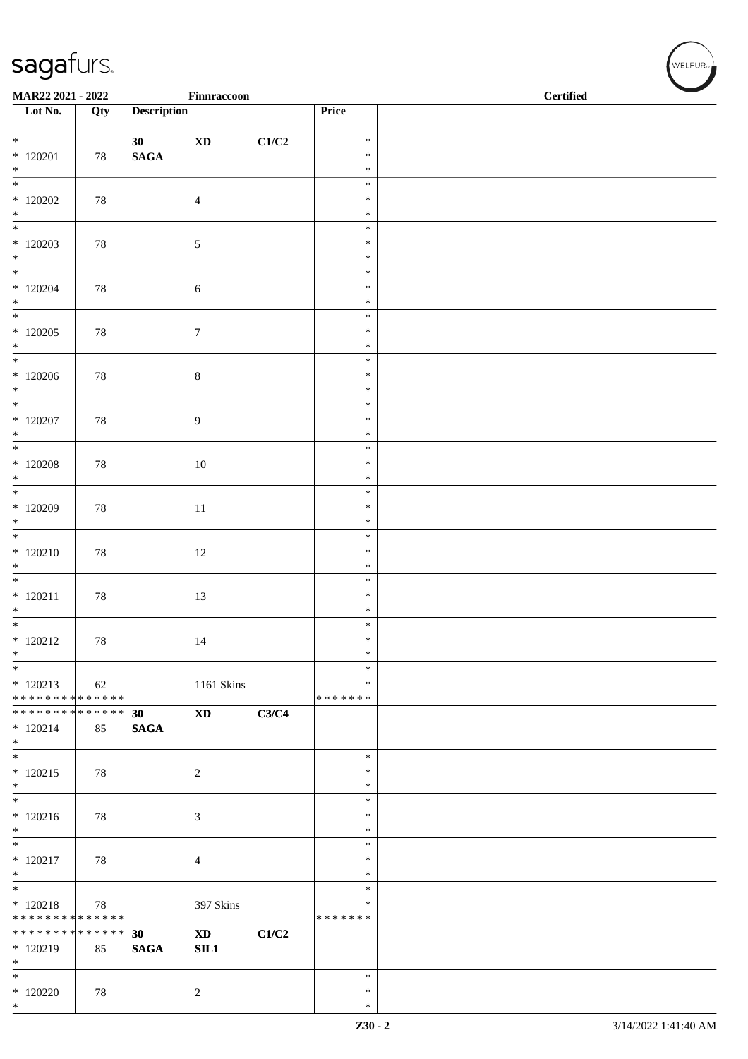| MAR22 2021 - 2022                           |     |                    | Finnraccoon                |       |                            | <b>Certified</b> |  |
|---------------------------------------------|-----|--------------------|----------------------------|-------|----------------------------|------------------|--|
| Lot No.                                     | Qty | <b>Description</b> |                            |       | Price                      |                  |  |
| $*$                                         |     | 30 <sup>1</sup>    | $\mathbf{X}\mathbf{D}$     | C1/C2 | $\ast$                     |                  |  |
| $*120201$<br>$*$                            | 78  | $\mathbf{SAGA}$    |                            |       | $\ast$<br>$\ast$           |                  |  |
|                                             |     |                    |                            |       | $\ast$                     |                  |  |
| $*120202$<br>$\ast$                         | 78  |                    | $\overline{4}$             |       | $\ast$<br>$\ast$           |                  |  |
| $*$<br>$*120203$                            | 78  |                    | 5                          |       | $\ast$<br>$\ast$           |                  |  |
| $*$                                         |     |                    |                            |       | $\ast$                     |                  |  |
| $*120204$<br>$*$                            | 78  |                    | $\sqrt{6}$                 |       | $\ast$<br>$\ast$<br>$\ast$ |                  |  |
|                                             |     |                    |                            |       | $\ast$                     |                  |  |
| $*120205$<br>$*$                            | 78  |                    | $\tau$                     |       | $\ast$<br>$\ast$           |                  |  |
| $*$                                         |     |                    |                            |       | $\ast$                     |                  |  |
| $*120206$<br>$*$                            | 78  |                    | $\,8\,$                    |       | $\ast$<br>$\ast$           |                  |  |
| $*$<br>$*$ 120207                           | 78  |                    | $\overline{9}$             |       | $\ast$<br>$\ast$           |                  |  |
| $*$                                         |     |                    |                            |       | $\ast$                     |                  |  |
|                                             |     |                    |                            |       | $\ast$                     |                  |  |
| $*$ 120208<br>$*$                           | 78  |                    | $10\,$                     |       | $\ast$<br>$\ast$           |                  |  |
|                                             |     |                    |                            |       | $\ast$                     |                  |  |
| $*120209$<br>$*$                            | 78  |                    | $11\,$                     |       | $\ast$<br>$\ast$           |                  |  |
|                                             |     |                    |                            |       | $\ast$                     |                  |  |
| $*120210$                                   | 78  |                    | 12                         |       | $\ast$                     |                  |  |
| $\ast$                                      |     |                    |                            |       | $\ast$                     |                  |  |
| $* 120211$                                  |     |                    |                            |       | $\ast$<br>$\ast$           |                  |  |
| $*$                                         | 78  |                    | 13                         |       | $\ast$                     |                  |  |
| $*$                                         |     |                    |                            |       | $\ast$                     |                  |  |
| $*120212$<br>$\ast$                         | 78  |                    | 14                         |       | $\ast$<br>$\ast$           |                  |  |
| $*$                                         |     |                    |                            |       | $\ast$                     |                  |  |
| $*120213$<br>* * * * * * * * * * * * * * *  | 62  |                    | 1161 Skins                 |       | $\ast$<br>* * * * * * *    |                  |  |
| ******** <mark>******</mark>                |     | 30 <sup>°</sup>    | $\boldsymbol{\mathrm{XD}}$ | C3/C4 |                            |                  |  |
| $*120214$<br>$*$                            | 85  | <b>SAGA</b>        |                            |       |                            |                  |  |
| $*$                                         |     |                    |                            |       | $\ast$                     |                  |  |
| $*120215$<br>$\ast$                         | 78  |                    | 2                          |       | $\ast$<br>$\ast$           |                  |  |
|                                             |     |                    |                            |       | $\ast$                     |                  |  |
| $*120216$<br>$*$                            | 78  |                    | $\mathfrak{Z}$             |       | $\ast$<br>$\ast$           |                  |  |
|                                             |     |                    |                            |       | $\ast$                     |                  |  |
| $* 120217$<br>$*$                           | 78  |                    | $\overline{4}$             |       | $\ast$<br>$\ast$           |                  |  |
| $*$                                         |     |                    |                            |       | $\ast$                     |                  |  |
| $* 120218$<br>* * * * * * * * * * * * * * * | 78  |                    | 397 Skins                  |       | $\ast$<br>*******          |                  |  |
| * * * * * * * * * * * * * * *               |     | 30                 | <b>XD</b>                  | C1/C2 |                            |                  |  |
| $*120219$<br>$*$                            | 85  | <b>SAGA</b>        | SIL1                       |       |                            |                  |  |
| $*$                                         |     |                    |                            |       | $\ast$                     |                  |  |
| $*120220$<br>$*$                            | 78  |                    | 2                          |       | $\ast$<br>$\ast$           |                  |  |
|                                             |     |                    |                            |       |                            |                  |  |

WELFUR<sub>"</sub>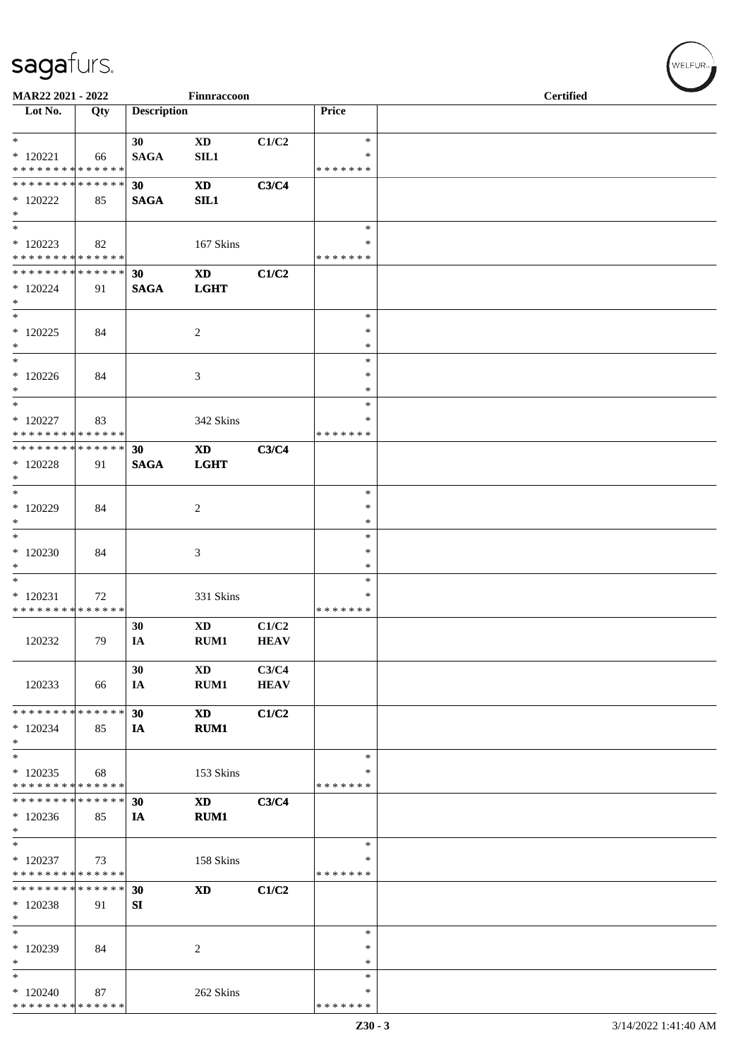| MAR22 2021 - 2022                                                        |     |                    | Finnraccoon                   |                      |                                      | <b>Certified</b> |  |  |
|--------------------------------------------------------------------------|-----|--------------------|-------------------------------|----------------------|--------------------------------------|------------------|--|--|
| $\overline{\phantom{1}}$ Lot No.                                         | Qty | <b>Description</b> |                               |                      | Price                                |                  |  |  |
| $*$<br>$*120221$<br>* * * * * * * * * * * * * *                          | 66  | 30<br><b>SAGA</b>  | $\mathbf{X}\mathbf{D}$<br>SL1 | C1/C2                | $\ast$<br>∗<br>* * * * * * *         |                  |  |  |
| * * * * * * * * <mark>* * * * * * *</mark><br>$*$ 120222<br>$*$          | 85  | 30<br><b>SAGA</b>  | $\mathbf{X}\mathbf{D}$<br>SL1 | C3/C4                |                                      |                  |  |  |
| $*$<br>$*120223$<br>* * * * * * * * * * * * * *                          | 82  |                    | 167 Skins                     |                      | $\ast$<br>∗<br>* * * * * * *         |                  |  |  |
| * * * * * * * * * * * * * * *<br>* 120224<br>$*$                         | 91  | 30<br><b>SAGA</b>  | <b>XD</b><br><b>LGHT</b>      | C1/C2                |                                      |                  |  |  |
| $\overline{\phantom{0}}$<br>$*$ 120225<br>$*$                            | 84  |                    | $\overline{c}$                |                      | $\ast$<br>$\ast$<br>$\ast$           |                  |  |  |
| $\ast$<br>$*120226$<br>$*$<br>$*$                                        | 84  |                    | 3                             |                      | $\ast$<br>$\ast$<br>$\ast$<br>$\ast$ |                  |  |  |
| $*$ 120227<br>* * * * * * * * * * * * * *<br>* * * * * * * * * * * * * * | 83  | 30                 | 342 Skins<br><b>XD</b>        | C3/C4                | ∗<br>* * * * * * *                   |                  |  |  |
| $*$ 120228<br>$*$<br>$*$                                                 | 91  | <b>SAGA</b>        | <b>LGHT</b>                   |                      | ∗                                    |                  |  |  |
| $*$ 120229<br>$*$<br>$*$                                                 | 84  |                    | $\overline{c}$                |                      | $\ast$<br>$\ast$<br>$\ast$           |                  |  |  |
| $*120230$<br>$\ast$<br>$\overline{\phantom{0}}$                          | 84  |                    | 3                             |                      | ∗<br>$\ast$<br>$\ast$                |                  |  |  |
| $*120231$<br>* * * * * * * * * * * * * *                                 | 72  | 30                 | 331 Skins<br><b>XD</b>        | C1/C2                | $\ast$<br>* * * * * * *              |                  |  |  |
| 120232                                                                   | 79  | IA<br>30           | RUM1<br><b>XD</b>             | <b>HEAV</b><br>C3/C4 |                                      |                  |  |  |
| 120233<br>* * * * * * * * * * * * * *                                    | 66  | IA<br>30           | RUM1<br><b>XD</b>             | <b>HEAV</b><br>C1/C2 |                                      |                  |  |  |
| $*120234$<br>$*$<br>$\ast$                                               | 85  | IA                 | RUM1                          |                      | ∗                                    |                  |  |  |
| $*120235$<br>* * * * * * * * * * * * * *<br>* * * * * * * * * * * * * *  | 68  | 30                 | 153 Skins<br><b>XD</b>        | C3/C4                | ∗<br>* * * * * * *                   |                  |  |  |
| $*120236$<br>$\ast$<br>$*$                                               | 85  | IA                 | RUM1                          |                      | $\ast$                               |                  |  |  |
| $*$ 120237<br>* * * * * * * * * * * * * *<br>* * * * * * * * * * * * * * | 73  |                    | 158 Skins                     |                      | ∗<br>* * * * * * *                   |                  |  |  |
| $*120238$<br>$*$<br>$*$                                                  | 91  | 30<br>SI           | <b>XD</b>                     | C1/C2                | $\ast$                               |                  |  |  |
| * 120239<br>$\ast$<br>$\ast$                                             | 84  |                    | 2                             |                      | $\ast$<br>∗<br>$\ast$                |                  |  |  |
| $*120240$<br>* * * * * * * * * * * * * *                                 | 87  |                    | 262 Skins                     |                      | *<br>* * * * * * *                   |                  |  |  |

WELFUR-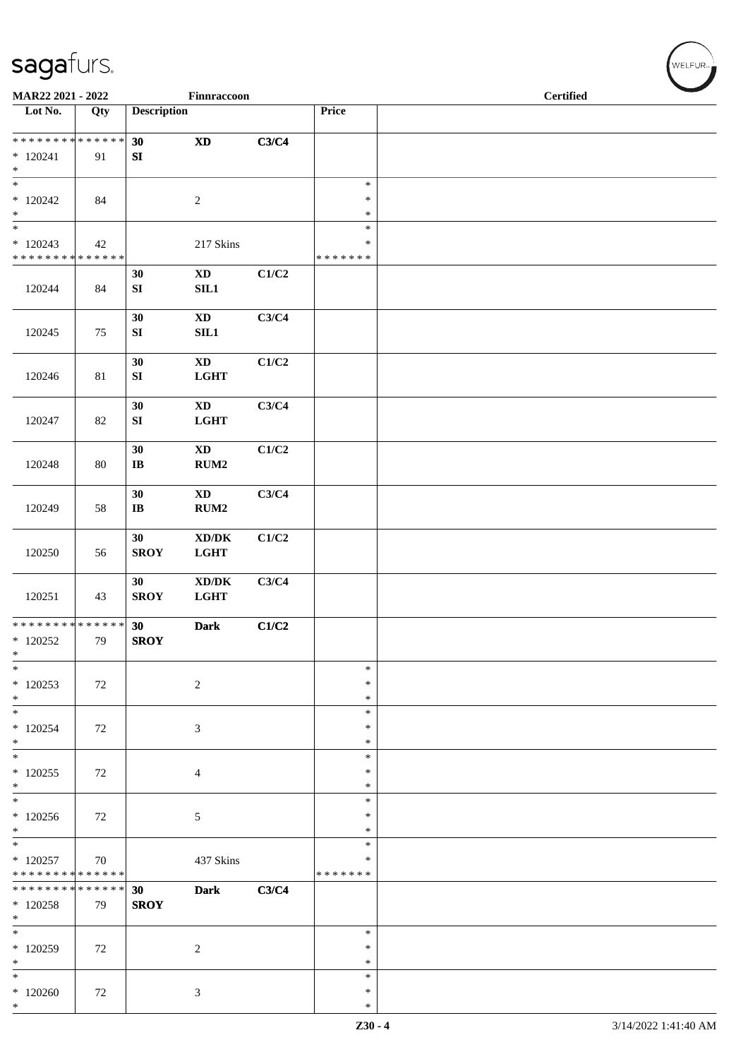| MAR22 2021 - 2022                                         |     |                                | Finnraccoon                                                                 |       |                                   | <b>Certified</b> |  |  |
|-----------------------------------------------------------|-----|--------------------------------|-----------------------------------------------------------------------------|-------|-----------------------------------|------------------|--|--|
| Lot No.                                                   | Qty | <b>Description</b>             |                                                                             |       | Price                             |                  |  |  |
| **************<br>$*120241$<br>$\ast$                     | 91  | 30<br>${\bf SI}$               | $\boldsymbol{\mathrm{XD}}$                                                  | C3/C4 |                                   |                  |  |  |
| $\overline{\phantom{1}}$<br>$*120242$<br>$\ast$           | 84  |                                | $\sqrt{2}$                                                                  |       | $\ast$<br>$\ast$<br>$\ast$        |                  |  |  |
| $\ast$<br>$*120243$<br>**************                     | 42  |                                | 217 Skins                                                                   |       | $\ast$<br>$\ast$<br>* * * * * * * |                  |  |  |
| 120244                                                    | 84  | 30<br>${\bf SI}$               | $\mathbf{X}\mathbf{D}$<br>SL1                                               | C1/C2 |                                   |                  |  |  |
| 120245                                                    | 75  | 30<br>${\bf SI}$               | $\mathbf{X}\mathbf{D}$<br>SL1                                               | C3/C4 |                                   |                  |  |  |
| 120246                                                    | 81  | 30<br>${\bf SI}$               | $\mathbf{X}\mathbf{D}$<br><b>LGHT</b>                                       | C1/C2 |                                   |                  |  |  |
| 120247                                                    | 82  | 30<br>${\bf SI}$               | $\mathbf{X}\mathbf{D}$<br><b>LGHT</b>                                       | C3/C4 |                                   |                  |  |  |
| 120248                                                    | 80  | 30<br>$\bf{IB}$                | $\mathbf{X}\mathbf{D}$<br>RUM2                                              | C1/C2 |                                   |                  |  |  |
| 120249                                                    | 58  | 30<br>$\bf{IB}$                | $\mathbf{X}\mathbf{D}$<br>RUM2                                              | C3/C4 |                                   |                  |  |  |
| 120250                                                    | 56  | 30<br><b>SROY</b>              | $\bold{X}\bold{D}/\bold{D}\bold{K}$<br>$_{\rm LGHT}$                        | C1/C2 |                                   |                  |  |  |
| 120251                                                    | 43  | 30<br><b>SROY</b>              | $\boldsymbol{\text{XD}}\boldsymbol{/}\boldsymbol{\text{DK}}$<br><b>LGHT</b> | C3/C4 |                                   |                  |  |  |
| ******** <mark>******</mark><br>$*120252$<br>$\ast$       | 79  | 30<br><b>SROY</b>              | <b>Dark</b>                                                                 | C1/C2 |                                   |                  |  |  |
| $\ast$<br>$*120253$<br>$*$                                | 72  |                                | $\sqrt{2}$                                                                  |       | $\ast$<br>∗<br>$\ast$             |                  |  |  |
| $\overline{\phantom{a}^*}$<br>$*120254$<br>$*$            | 72  |                                | $\mathfrak{Z}$                                                              |       | $\ast$<br>$\ast$<br>$\ast$        |                  |  |  |
| $*$<br>$*120255$<br>$*$                                   | 72  |                                | $\overline{4}$                                                              |       | $\ast$<br>$\ast$<br>$\ast$        |                  |  |  |
| $\overline{\phantom{0}}$<br>$*120256$<br>$*$              | 72  |                                | 5                                                                           |       | $\ast$<br>$\ast$<br>$\ast$        |                  |  |  |
| $_{\ast}^{-}$<br>$*120257$<br>* * * * * * * * * * * * * * | 70  |                                | 437 Skins                                                                   |       | $\ast$<br>$\ast$<br>* * * * * * * |                  |  |  |
| * * * * * * * * * * * * * *<br>$*120258$<br>$*$           | 79  | 30 <sub>1</sub><br><b>SROY</b> | <b>Dark</b>                                                                 | C3/C4 |                                   |                  |  |  |
| $\overline{\phantom{a}^*}$<br>$*120259$<br>$\ast$         | 72  |                                | $\overline{c}$                                                              |       | $\ast$<br>$\ast$<br>$\ast$        |                  |  |  |
| $\overline{\phantom{a}^*}$<br>$*120260$<br>$*$            | 72  |                                | $\mathfrak{Z}$                                                              |       | $\ast$<br>$\ast$<br>$\ast$        |                  |  |  |

 $(w$ ELFUR<sub>m</sub>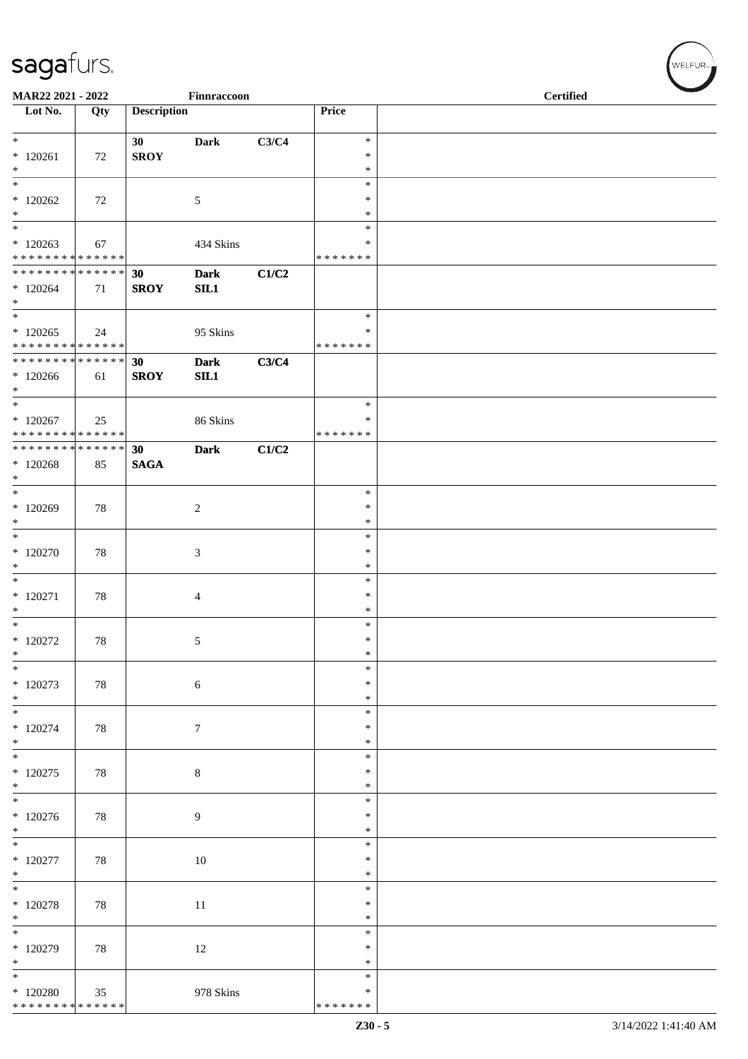| MAR22 2021 - 2022                                                    |     |                    | Finnraccoon        |       |                                   | <b>Certified</b> |  |
|----------------------------------------------------------------------|-----|--------------------|--------------------|-------|-----------------------------------|------------------|--|
| $\overline{\phantom{1}}$ Lot No.                                     | Qty | <b>Description</b> |                    |       | Price                             |                  |  |
| $*$<br>$*120261$<br>$*$                                              | 72  | 30<br><b>SROY</b>  | <b>Dark</b>        | C3/C4 | $\ast$<br>$\ast$<br>$\ast$        |                  |  |
| $*120262$<br>$*$                                                     | 72  |                    | 5                  |       | $\ast$<br>$\ast$<br>$\ast$        |                  |  |
| $\ast$<br>$*120263$<br>* * * * * * * * * * * * * *                   | 67  |                    | 434 Skins          |       | $\ast$<br>∗<br>* * * * * * *      |                  |  |
| * * * * * * * * * * * * * * *<br>$*120264$<br>$*$                    | 71  | 30<br><b>SROY</b>  | <b>Dark</b><br>SL1 | C1/C2 |                                   |                  |  |
| $\overline{\phantom{0}}$<br>$*120265$<br>* * * * * * * * * * * * * * | 24  |                    | 95 Skins           |       | $\ast$<br>∗<br>* * * * * * *      |                  |  |
| ******** <mark>******</mark><br>$*120266$<br>$*$                     | 61  | 30<br><b>SROY</b>  | <b>Dark</b><br>SL1 | C3/C4 |                                   |                  |  |
| $*$<br>$*120267$<br>* * * * * * * * * * * * * *                      | 25  |                    | 86 Skins           |       | $\ast$<br>∗<br>* * * * * * *      |                  |  |
| ******** <mark>******</mark><br>$*120268$<br>$*$                     | 85  | 30<br><b>SAGA</b>  | <b>Dark</b>        | C1/C2 |                                   |                  |  |
| $*$<br>$*120269$<br>$*$                                              | 78  |                    | $\overline{c}$     |       | $\ast$<br>$\ast$<br>$\ast$        |                  |  |
| $\overline{\ast}$<br>$*120270$<br>$\ast$                             | 78  |                    | 3                  |       | $\ast$<br>$\ast$<br>$\ast$        |                  |  |
| $\overline{\phantom{0}}$<br>$*120271$<br>$*$                         | 78  |                    | 4                  |       | $\ast$<br>$\ast$<br>$\ast$        |                  |  |
| $*$<br>$*$ 120272<br>$\ast$                                          | 78  |                    | 5                  |       | $\ast$<br>$\ast$<br>$\ast$        |                  |  |
| $\ast$<br>$*120273$<br>$\ast$                                        | 78  |                    | $\sqrt{6}$         |       | $\ast$<br>∗<br>$\ast$             |                  |  |
| $\ast$<br>$*$ 120274<br>$*$                                          | 78  |                    | $\boldsymbol{7}$   |       | $\ast$<br>$\ast$<br>$\ast$        |                  |  |
| $\ast$<br>$*120275$<br>$*$                                           | 78  |                    | $\,8\,$            |       | ∗<br>$\ast$<br>$\ast$             |                  |  |
| $\overline{\ast}$<br>$*120276$<br>$\ast$                             | 78  |                    | 9                  |       | $\ast$<br>$\ast$<br>∗             |                  |  |
| $*$<br>$*$ 120277<br>$*$                                             | 78  |                    | 10                 |       | $\ast$<br>$\ast$<br>$\ast$        |                  |  |
| $*$<br>$*$ 120278<br>$\ast$                                          | 78  |                    | 11                 |       | $\ast$<br>$\ast$<br>$\ast$        |                  |  |
| $\ast$<br>$*120279$<br>$\ast$                                        | 78  |                    | 12                 |       | $\ast$<br>$\ast$<br>∗             |                  |  |
| $\ast$<br>$*$ 120280<br>******** <mark>******</mark>                 | 35  |                    | 978 Skins          |       | $\ast$<br>$\ast$<br>* * * * * * * |                  |  |

WELFUR-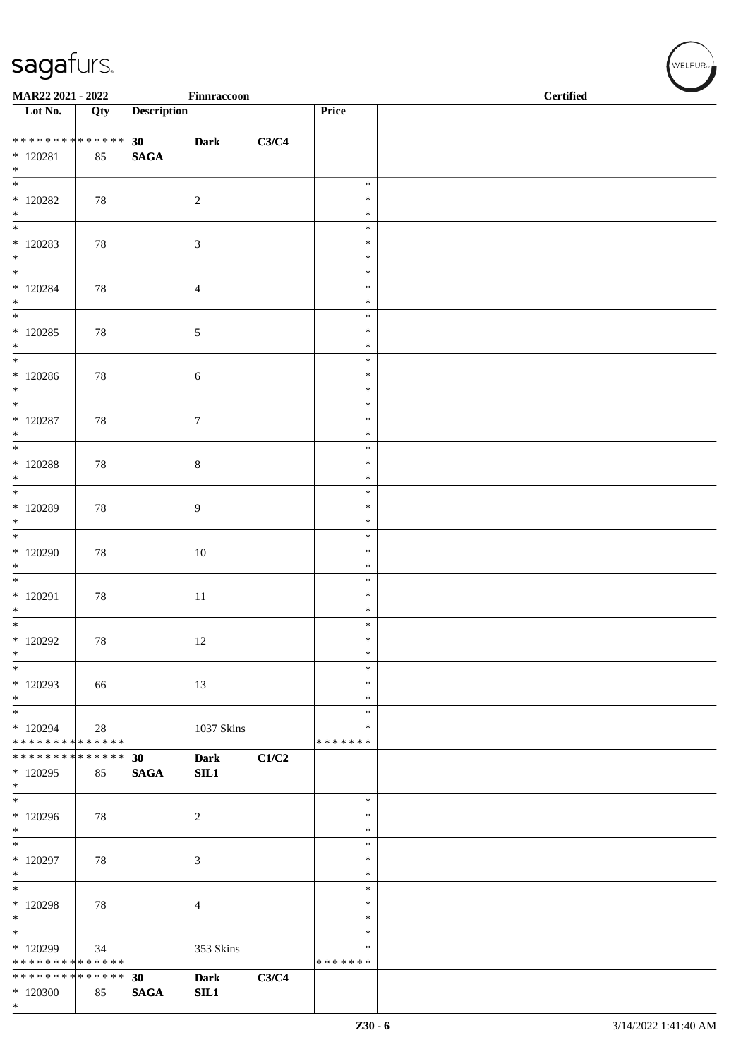| MAR22 2021 - 2022                                          |        |                    | Finnraccoon         |       |                  | <b>Certified</b> |  |
|------------------------------------------------------------|--------|--------------------|---------------------|-------|------------------|------------------|--|
| $\overline{\phantom{1}}$ Lot No.                           | Qty    | <b>Description</b> |                     |       | Price            |                  |  |
| * * * * * * * * * * * * * *<br>$*$ 120281                  | 85     | 30<br><b>SAGA</b>  | <b>Dark</b>         | C3/C4 |                  |                  |  |
| $*$<br>$_{\ast}^{-}$                                       |        |                    |                     |       |                  |                  |  |
| $*$ 120282                                                 | 78     |                    | $\sqrt{2}$          |       | $\ast$<br>$\ast$ |                  |  |
| $*$<br>$\overline{\phantom{a}^*}$                          |        |                    |                     |       | $\ast$<br>$\ast$ |                  |  |
| $*120283$<br>$\ast$                                        | 78     |                    | $\sqrt{3}$          |       | $\ast$<br>$\ast$ |                  |  |
| $\overline{\phantom{a}^*}$                                 |        |                    |                     |       | $\ast$           |                  |  |
| $*120284$<br>$\ast$                                        | 78     |                    | $\overline{4}$      |       | ∗<br>$\ast$      |                  |  |
| $\overline{\phantom{0}}$<br>$*120285$                      | 78     |                    | $\sqrt{5}$          |       | $\ast$<br>$\ast$ |                  |  |
| $\ast$<br>$\overline{\phantom{a}^*}$                       |        |                    |                     |       | $\ast$<br>$\ast$ |                  |  |
| $*120286$                                                  | 78     |                    | $\sqrt{6}$          |       | $\ast$           |                  |  |
| $*$<br>$\ast$                                              |        |                    |                     |       | $\ast$<br>$\ast$ |                  |  |
| $*$ 120287<br>$\ast$                                       | 78     |                    | $\boldsymbol{7}$    |       | $\ast$<br>$\ast$ |                  |  |
| $\overline{\ast}$<br>$*$ 120288                            | 78     |                    | $\,8\,$             |       | $\ast$<br>$\ast$ |                  |  |
| $*$<br>$\ast$                                              |        |                    |                     |       | $\ast$<br>$\ast$ |                  |  |
| $*120289$                                                  | 78     |                    | $\overline{9}$      |       | $\ast$           |                  |  |
| $\ast$<br>$\overline{\phantom{0}}$                         |        |                    |                     |       | $\ast$<br>$\ast$ |                  |  |
| $*120290$<br>$\ast$                                        | 78     |                    | 10                  |       | $\ast$<br>$\ast$ |                  |  |
| $\overline{\phantom{0}}$<br>$*120291$                      | 78     |                    | $11\,$              |       | $\ast$<br>$\ast$ |                  |  |
| $\ast$<br>$\overline{\ast}$                                |        |                    |                     |       | $\ast$           |                  |  |
| $*$ 120292                                                 | $78\,$ |                    | 12                  |       | $\ast$<br>$\ast$ |                  |  |
| $\ast$<br>$\ast$                                           |        |                    |                     |       | $\ast$<br>$\ast$ |                  |  |
| $*120293$<br>$\ast$                                        | 66     |                    | 13                  |       | $\ast$<br>$\ast$ |                  |  |
| $\ast$                                                     |        |                    |                     |       | $\ast$<br>$\ast$ |                  |  |
| $*120294$<br>* * * * * * * * * * * * * *                   | $28\,$ |                    | 1037 Skins          |       | * * * * * * *    |                  |  |
| * * * * * * * * * * * * * *<br>$*120295$<br>$\ast$         | 85     | 30<br><b>SAGA</b>  | <b>Dark</b><br>SL1  | C1/C2 |                  |                  |  |
| $\ast$<br>$*120296$                                        | 78     |                    | $\sqrt{2}$          |       | $\ast$<br>$\ast$ |                  |  |
| $\ast$<br>$\overline{\phantom{a}}$                         |        |                    |                     |       | $\ast$<br>$\ast$ |                  |  |
| $*120297$<br>$\ast$                                        | 78     |                    | $\sqrt{3}$          |       | $\ast$<br>$\ast$ |                  |  |
| $\ast$                                                     |        |                    |                     |       | $\ast$           |                  |  |
| * 120298<br>$\ast$                                         | 78     |                    | $\overline{4}$      |       | $\ast$<br>$\ast$ |                  |  |
| $\ast$<br>* 120299                                         | 34     |                    | 353 Skins           |       | $\ast$<br>$\ast$ |                  |  |
| * * * * * * * * * * * * * *<br>* * * * * * * * * * * * * * |        | 30                 |                     | C3/C4 | * * * * * * *    |                  |  |
| $*120300$<br>$\ast$                                        | 85     | <b>SAGA</b>        | <b>Dark</b><br>SIL1 |       |                  |                  |  |

WELFUR<sub>"</sub>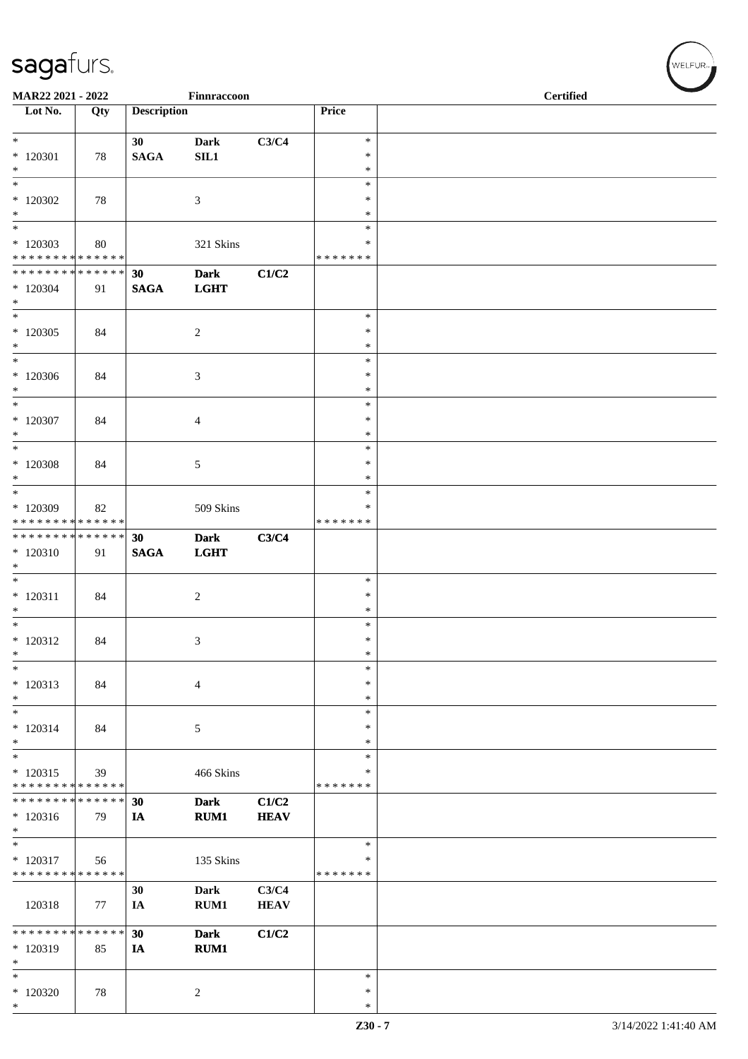| MAR22 2021 - 2022                                   |                   |                    | Finnraccoon                |                      |                                   | <b>Certified</b> |  |
|-----------------------------------------------------|-------------------|--------------------|----------------------------|----------------------|-----------------------------------|------------------|--|
| Lot No.                                             | Qty               | <b>Description</b> |                            |                      | Price                             |                  |  |
| $*120301$<br>$*$                                    | 78                | 30<br><b>SAGA</b>  | <b>Dark</b><br>SL1         | C3/C4                | $\ast$<br>$\ast$<br>$\ast$        |                  |  |
| $\overline{\ast}$<br>$*$ 120302<br>$*$              | 78                |                    | $\mathfrak{Z}$             |                      | $\ast$<br>$\ast$<br>$\ast$        |                  |  |
| $*$<br>$*120303$<br>* * * * * * * * * * * * * *     | 80                |                    | 321 Skins                  |                      | $\ast$<br>$\ast$<br>* * * * * * * |                  |  |
| ******** <mark>******</mark><br>$*120304$<br>$*$    | 91                | 30<br><b>SAGA</b>  | <b>Dark</b><br><b>LGHT</b> | C1/C2                |                                   |                  |  |
| $\overline{\ast}$<br>$*120305$<br>$*$               | 84                |                    | $\sqrt{2}$                 |                      | $\ast$<br>$\ast$<br>$\ast$        |                  |  |
| $*$<br>$*120306$<br>$\ast$                          | 84                |                    | $\mathfrak{Z}$             |                      | $\ast$<br>$\ast$<br>$\ast$        |                  |  |
| $\ast$<br>$*$ 120307<br>$*$                         | 84                |                    | $\overline{4}$             |                      | $\ast$<br>*<br>$\ast$             |                  |  |
| $\ast$<br>$*$ 120308<br>$*$                         | 84                |                    | $\sqrt{5}$                 |                      | $\ast$<br>$\ast$<br>$\ast$        |                  |  |
| $*$<br>* 120309<br>* * * * * * * * * * * * * *      | 82                |                    | 509 Skins                  |                      | $\ast$<br>$\ast$<br>* * * * * * * |                  |  |
| ******** <mark>******</mark><br>$*120310$<br>$\ast$ | 91                | 30<br><b>SAGA</b>  | <b>Dark</b><br><b>LGHT</b> | C3/C4                |                                   |                  |  |
| $*$<br>$* 120311$<br>$*$                            | 84                |                    | $\overline{c}$             |                      | $\ast$<br>$\ast$<br>$\ast$        |                  |  |
| $*$<br>$* 120312$<br>$\ast$                         | 84                |                    | 3                          |                      | $\ast$<br>$\ast$<br>$\ast$        |                  |  |
| $\ast$<br>* 120313<br>$*$                           | 84                |                    | $\overline{4}$             |                      | $\ast$<br>*<br>*                  |                  |  |
| $\ast$<br>$* 120314$<br>$*$                         | 84                |                    | $\sqrt{5}$                 |                      | $\ast$<br>$\ast$<br>$\ast$        |                  |  |
| $*$<br>$* 120315$<br>* * * * * * * * * * * * * *    | 39                |                    | 466 Skins                  |                      | $\ast$<br>$\ast$<br>* * * * * * * |                  |  |
| * * * * * * * *<br>$*120316$<br>$\ast$              | * * * * * *<br>79 | 30<br>IA           | <b>Dark</b><br>RUM1        | C1/C2<br><b>HEAV</b> |                                   |                  |  |
| $\ast$<br>$* 120317$<br>* * * * * * * *             | 56<br>* * * * * * |                    | 135 Skins                  |                      | $\ast$<br>∗<br>* * * * * * *      |                  |  |
| 120318                                              | 77                | 30<br>IA           | <b>Dark</b><br>RUM1        | C3/C4<br><b>HEAV</b> |                                   |                  |  |
| * * * * * * * *<br>* 120319<br>$\ast$               | ******<br>85      | 30<br>IA           | <b>Dark</b><br><b>RUM1</b> | C1/C2                |                                   |                  |  |
| $\ast$<br>$*120320$<br>$*$                          | 78                |                    | $\sqrt{2}$                 |                      | $\ast$<br>$\ast$<br>$\ast$        |                  |  |

 $(w$ elfur $_{\approx}$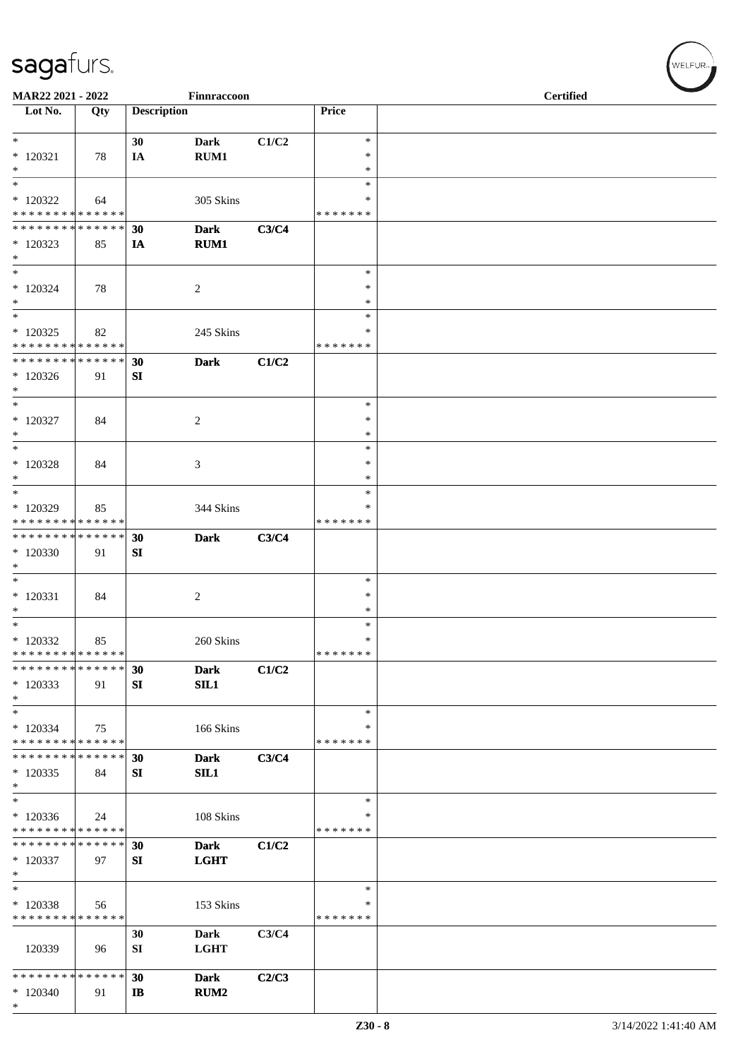| MAR22 2021 - 2022                                    |                   |                    | Finnraccoon                     |       |                                      | <b>Certified</b> |  |
|------------------------------------------------------|-------------------|--------------------|---------------------------------|-------|--------------------------------------|------------------|--|
| Lot No.                                              | Qty               | <b>Description</b> |                                 |       | Price                                |                  |  |
| $*$<br>$*120321$<br>$*$                              | 78                | 30<br>IA           | <b>Dark</b><br>RUM1             | C1/C2 | $\ast$<br>$\ast$<br>$\ast$           |                  |  |
| $*$<br>$*$ 120322<br>* * * * * * * * * * * * * * *   | 64                |                    | 305 Skins                       |       | $\ast$<br>$\ast$<br>* * * * * * *    |                  |  |
| ******** <mark>******</mark><br>* 120323<br>$*$      | 85                | 30<br>IA           | <b>Dark</b><br>RUM1             | C3/C4 |                                      |                  |  |
| $*$<br>$*120324$<br>$*$                              | 78                |                    | $\overline{c}$                  |       | $\ast$<br>$\ast$<br>$\ast$<br>$\ast$ |                  |  |
| $*120325$<br>* * * * * * * * * * * * * *             | 82                |                    | 245 Skins                       |       | ∗<br>* * * * * * *                   |                  |  |
| * * * * * * * * * * * * * * *<br>$*120326$<br>$*$    | 91                | 30<br>SI           | <b>Dark</b>                     | C1/C2 |                                      |                  |  |
| $*$<br>$*$ 120327<br>$\ast$                          | 84                |                    | $\overline{2}$                  |       | $\ast$<br>$\ast$<br>$\ast$           |                  |  |
| $*$<br>$*120328$<br>$\ast$                           | 84                |                    | 3                               |       | $\ast$<br>$\ast$<br>$\ast$           |                  |  |
| $*$<br>* 120329<br>* * * * * * * * * * * * * *       | 85                |                    | 344 Skins                       |       | $\ast$<br>∗<br>* * * * * * *         |                  |  |
| * * * * * * * * * * * * * * *<br>$*120330$<br>$*$    | 91                | 30<br>SI           | <b>Dark</b>                     | C3/C4 |                                      |                  |  |
| $*$<br>$*$ 120331<br>$\ast$<br>$*$                   | 84                |                    | $\overline{c}$                  |       | $\ast$<br>$\ast$<br>$\ast$<br>$\ast$ |                  |  |
| $*120332$<br>* * * * * * * * * * * * * *             | 85                |                    | 260 Skins                       |       | $\ast$<br>*******                    |                  |  |
| * * * * * * * *<br>$*120333$<br>$*$                  | * * * * * *<br>91 | 30<br>SI           | <b>Dark</b><br>SL1              | C1/C2 |                                      |                  |  |
| $*$<br>$*120334$<br>* * * * * * * * * * * * * *      | 75                |                    | 166 Skins                       |       | $\ast$<br>∗<br>* * * * * * *         |                  |  |
| * * * * * * * * * * * * * * *<br>$*120335$<br>$*$    | 84                | 30<br>SI           | <b>Dark</b><br>SL1              | C3/C4 |                                      |                  |  |
| $\ast$<br>$*120336$<br>* * * * * * * * * * * * * *   | 24                |                    | 108 Skins                       |       | $\ast$<br>∗<br>* * * * * * *         |                  |  |
| * * * * * * * * * * * * * * *<br>$*120337$<br>$\ast$ | 97                | 30<br>SI           | <b>Dark</b><br><b>LGHT</b>      | C1/C2 |                                      |                  |  |
| $\ast$<br>* 120338<br>* * * * * * * * * * * * * *    | 56                |                    | 153 Skins                       |       | $\ast$<br>∗<br>* * * * * * *         |                  |  |
| 120339                                               | 96                | 30<br>SI           | Dark<br><b>LGHT</b>             | C3/C4 |                                      |                  |  |
| * * * * * * * * * * * * * *<br>$*120340$<br>$\ast$   | 91                | 30<br>IB           | <b>Dark</b><br>RUM <sub>2</sub> | C2/C3 |                                      |                  |  |

WELFUR<sub>T</sub>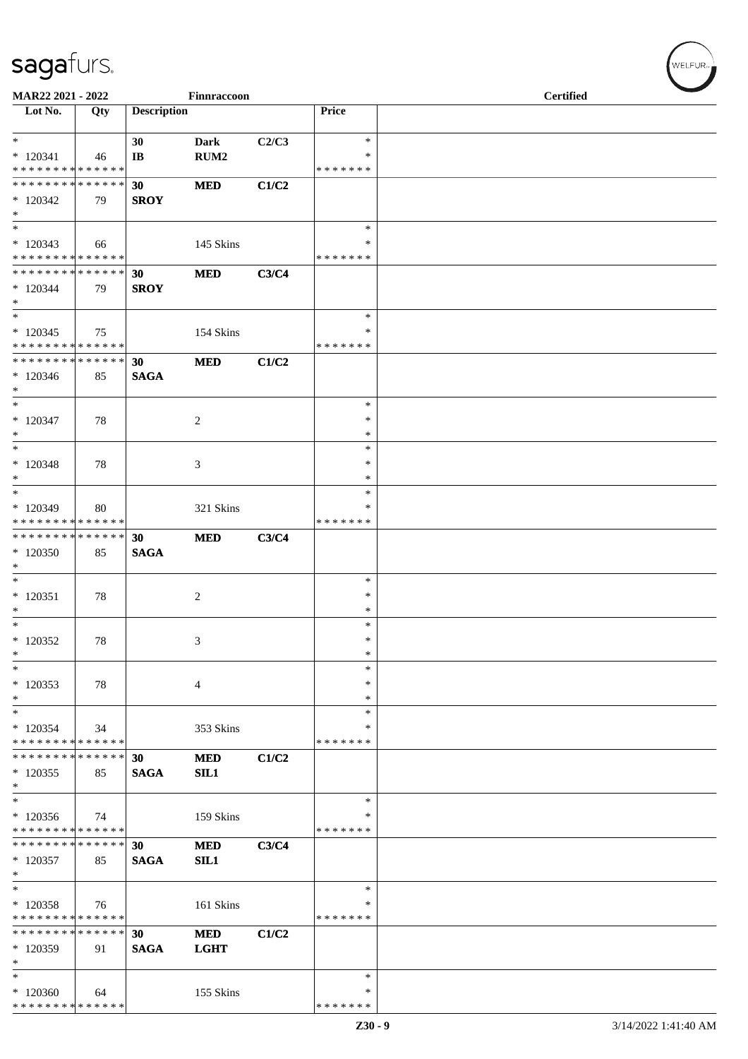| MAR22 2021 - 2022                                  |     |                    | Finnraccoon                     |       |                                   | <b>Certified</b> |  |
|----------------------------------------------------|-----|--------------------|---------------------------------|-------|-----------------------------------|------------------|--|
| $\overline{\phantom{1}}$ Lot No.                   | Qty | <b>Description</b> |                                 |       | Price                             |                  |  |
| $*$<br>$*120341$<br>* * * * * * * * * * * * * *    | 46  | 30<br>IB           | <b>Dark</b><br>RUM <sub>2</sub> | C2/C3 | $\ast$<br>$\ast$<br>* * * * * * * |                  |  |
| * * * * * * * * * * * * * *<br>$*120342$<br>$\ast$ | 79  | 30<br><b>SROY</b>  | <b>MED</b>                      | C1/C2 |                                   |                  |  |
| $\ast$<br>$*120343$<br>* * * * * * * * * * * * * * | 66  |                    | 145 Skins                       |       | $\ast$<br>∗<br>* * * * * * *      |                  |  |
| * * * * * * * * * * * * * *<br>$*120344$<br>$\ast$ | 79  | 30<br><b>SROY</b>  | <b>MED</b>                      | C3/C4 |                                   |                  |  |
| $\ast$<br>$*120345$<br>* * * * * * * * * * * * * * | 75  |                    | 154 Skins                       |       | $\ast$<br>∗<br>* * * * * * *      |                  |  |
| * * * * * * * * * * * * * *<br>$*120346$<br>$\ast$ | 85  | 30<br><b>SAGA</b>  | <b>MED</b>                      | C1/C2 |                                   |                  |  |
| $\ast$<br>$*120347$<br>$\ast$                      | 78  |                    | $\sqrt{2}$                      |       | $\ast$<br>$\ast$<br>$\ast$        |                  |  |
| $\ast$<br>$*120348$<br>$\ast$                      | 78  |                    | 3                               |       | $\ast$<br>$\ast$<br>$\ast$        |                  |  |
| $\ast$<br>$*120349$<br>* * * * * * * * * * * * * * | 80  |                    | 321 Skins                       |       | $\ast$<br>∗<br>* * * * * * *      |                  |  |
| * * * * * * * * * * * * * *<br>$*120350$<br>$\ast$ | 85  | 30<br><b>SAGA</b>  | <b>MED</b>                      | C3/C4 |                                   |                  |  |
| $\ast$<br>$*120351$<br>$\ast$                      | 78  |                    | $\overline{c}$                  |       | $\ast$<br>$\ast$<br>$\ast$        |                  |  |
| $_{\rm *}$<br>$*120352$<br>$\ast$                  | 78  |                    | 3                               |       | $\ast$<br>$\ast$<br>$\ast$        |                  |  |
| $\ast$<br>$*120353$<br>$\ast$                      | 78  |                    | $\overline{4}$                  |       | $\ast$<br>$\ast$<br>$\ast$        |                  |  |
| $\ast$<br>$*120354$<br>* * * * * * * * * * * * * * | 34  |                    | 353 Skins                       |       | $\ast$<br>∗<br>* * * * * * *      |                  |  |
| * * * * * * * * * * * * * *<br>$*120355$<br>$\ast$ | 85  | 30<br><b>SAGA</b>  | <b>MED</b><br>SL1               | C1/C2 |                                   |                  |  |
| $\ast$<br>$*120356$<br>* * * * * * * * * * * * * * | 74  |                    | 159 Skins                       |       | $\ast$<br>∗<br>* * * * * * *      |                  |  |
| * * * * * * * * * * * * * *<br>$*120357$<br>$\ast$ | 85  | 30<br><b>SAGA</b>  | <b>MED</b><br>SIL1              | C3/C4 |                                   |                  |  |
| $\ast$<br>$*120358$<br>* * * * * * * * * * * * * * | 76  |                    | 161 Skins                       |       | $\ast$<br>∗<br>* * * * * * *      |                  |  |
| * * * * * * * * * * * * * *<br>* 120359<br>$\ast$  | 91  | 30<br><b>SAGA</b>  | <b>MED</b><br><b>LGHT</b>       | C1/C2 |                                   |                  |  |
| $\ast$<br>$*120360$<br>* * * * * * * * * * * * * * | 64  |                    | 155 Skins                       |       | ∗<br>∗<br>* * * * * * *           |                  |  |

WELFUR-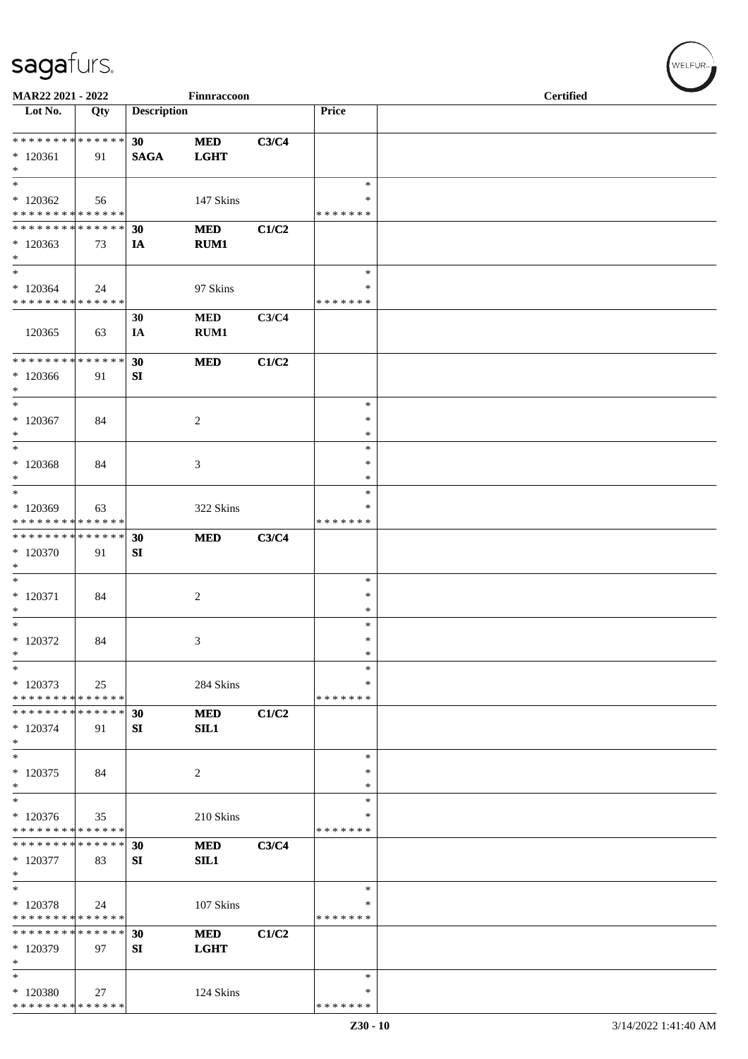| MAR22 2021 - 2022                                   |     |                    | Finnraccoon               |       |                                      | <b>Certified</b> |  |
|-----------------------------------------------------|-----|--------------------|---------------------------|-------|--------------------------------------|------------------|--|
| $\overline{\text{Lot No.}}$                         | Qty | <b>Description</b> |                           |       | Price                                |                  |  |
| ******** <mark>******</mark><br>$*120361$<br>$\ast$ | 91  | 30<br><b>SAGA</b>  | <b>MED</b><br><b>LGHT</b> | C3/C4 |                                      |                  |  |
| $\ast$<br>$*120362$<br>* * * * * * * * * * * * * *  | 56  |                    | 147 Skins                 |       | $\ast$<br>$\ast$<br>* * * * * * *    |                  |  |
| * * * * * * * * * * * * * *<br>$*120363$<br>$\ast$  | 73  | 30<br>IA           | <b>MED</b><br>RUM1        | C1/C2 |                                      |                  |  |
| $\ast$<br>$*120364$<br>* * * * * * * * * * * * * *  | 24  |                    | 97 Skins                  |       | $\ast$<br>∗<br>* * * * * * *         |                  |  |
| 120365                                              | 63  | 30<br>IA           | <b>MED</b><br>RUM1        | C3/C4 |                                      |                  |  |
| * * * * * * * * * * * * * *<br>$*120366$<br>$\ast$  | 91  | 30<br>SI           | <b>MED</b>                | C1/C2 |                                      |                  |  |
| $\ast$<br>$*120367$<br>$\ast$<br>$\ast$             | 84  |                    | $\overline{c}$            |       | $\ast$<br>$\ast$<br>$\ast$<br>$\ast$ |                  |  |
| $*120368$<br>$\ast$<br>$\ast$                       | 84  |                    | 3                         |       | $\ast$<br>$\ast$<br>$\ast$           |                  |  |
| $*120369$<br>* * * * * * * * * * * * * *            | 63  |                    | 322 Skins                 |       | $\ast$<br>* * * * * * *              |                  |  |
| * * * * * * * * * * * * * *<br>$*120370$<br>$\ast$  | 91  | 30<br>SI           | <b>MED</b>                | C3/C4 |                                      |                  |  |
| $\ast$<br>$*120371$<br>$\ast$<br>$*$                | 84  |                    | $\overline{c}$            |       | $\ast$<br>$\ast$<br>$\ast$<br>$\ast$ |                  |  |
| $*120372$<br>$\ast$<br>$\ast$                       | 84  |                    | $\mathfrak{Z}$            |       | $\ast$<br>$\ast$<br>$\ast$           |                  |  |
| $*120373$<br>* * * * * * * * * * * * * *            | 25  |                    | 284 Skins                 |       | ∗<br>* * * * * * *                   |                  |  |
| * * * * * * * * * * * * * *<br>$*120374$<br>$\ast$  | 91  | 30<br>SI           | <b>MED</b><br>SIL1        | C1/C2 |                                      |                  |  |
| $\ast$<br>$*120375$<br>$\ast$                       | 84  |                    | 2                         |       | $\ast$<br>$\ast$<br>$\ast$           |                  |  |
| $\ast$<br>$*120376$<br>* * * * * * * * * * * * * *  | 35  |                    | 210 Skins                 |       | $\ast$<br>*<br>* * * * * * *         |                  |  |
| * * * * * * * * * * * * * *<br>$*120377$<br>$\ast$  | 83  | 30<br>SI           | <b>MED</b><br>SIL1        | C3/C4 |                                      |                  |  |
| $\ast$<br>$*120378$<br>* * * * * * * * * * * * * *  | 24  |                    | 107 Skins                 |       | $\ast$<br>∗<br>* * * * * * *         |                  |  |
| * * * * * * * * * * * * * *<br>* 120379<br>$\ast$   | 97  | 30<br>SI           | <b>MED</b><br><b>LGHT</b> | C1/C2 |                                      |                  |  |
| $*$<br>$*120380$<br>* * * * * * * * * * * * * *     | 27  |                    | 124 Skins                 |       | $\ast$<br>∗<br>* * * * * * *         |                  |  |

 $(w$ elfur $_{\approx}$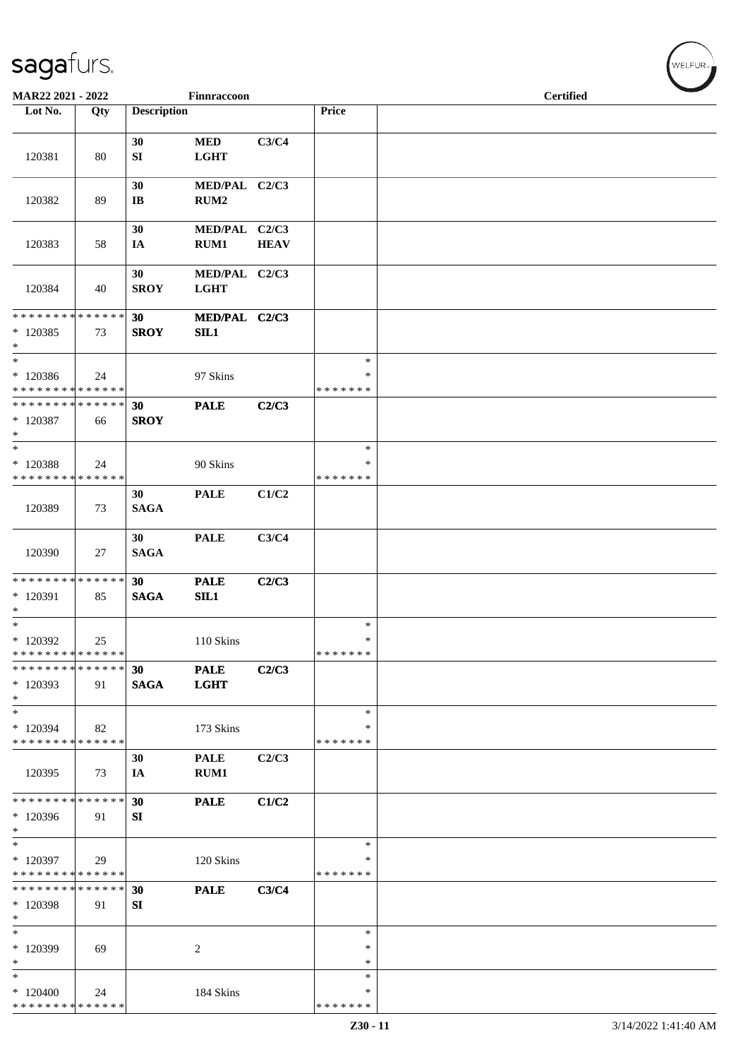| MAR22 2021 - 2022                                  |     |                              | Finnraccoon                       |             |                                   | <b>Certified</b> |  |
|----------------------------------------------------|-----|------------------------------|-----------------------------------|-------------|-----------------------------------|------------------|--|
| Lot No.                                            | Qty | <b>Description</b>           |                                   |             | Price                             |                  |  |
| 120381                                             | 80  | 30<br>SI                     | <b>MED</b><br><b>LGHT</b>         | C3/C4       |                                   |                  |  |
| 120382                                             | 89  | 30<br>$\mathbf{I}\mathbf{B}$ | MED/PAL C2/C3<br>RUM <sub>2</sub> |             |                                   |                  |  |
| 120383                                             | 58  | 30<br>IA                     | MED/PAL C2/C3<br>RUM1             | <b>HEAV</b> |                                   |                  |  |
| 120384                                             | 40  | 30<br><b>SROY</b>            | MED/PAL C2/C3<br><b>LGHT</b>      |             |                                   |                  |  |
| * * * * * * * * * * * * * *<br>$*120385$<br>$\ast$ | 73  | 30<br><b>SROY</b>            | MED/PAL C2/C3<br>SL1              |             |                                   |                  |  |
| $\ast$<br>$*120386$<br>* * * * * * * * * * * * * * | 24  |                              | 97 Skins                          |             | $\ast$<br>∗<br>* * * * * * *      |                  |  |
| * * * * * * * * * * * * * *<br>$*120387$<br>$*$    | 66  | 30<br><b>SROY</b>            | <b>PALE</b>                       | C2/C3       |                                   |                  |  |
| $\ast$<br>* 120388<br>* * * * * * * * * * * * * *  | 24  |                              | 90 Skins                          |             | $\ast$<br>∗<br>* * * * * * *      |                  |  |
| 120389                                             | 73  | 30<br><b>SAGA</b>            | <b>PALE</b>                       | C1/C2       |                                   |                  |  |
| 120390                                             | 27  | 30<br><b>SAGA</b>            | <b>PALE</b>                       | C3/C4       |                                   |                  |  |
| * * * * * * * * * * * * * *<br>* 120391<br>$\ast$  | 85  | 30<br><b>SAGA</b>            | <b>PALE</b><br>SL1                | C2/C3       |                                   |                  |  |
| $\ast$<br>$*120392$<br>* * * * * * * * * * * * * * | 25  |                              | 110 Skins                         |             | $\ast$<br>$\ast$<br>* * * * * * * |                  |  |
| * * * * * * * * * * * * * *<br>$*120393$<br>$\ast$ | 91  | 30<br><b>SAGA</b>            | <b>PALE</b><br><b>LGHT</b>        | C2/C3       |                                   |                  |  |
| $\ast$<br>* 120394<br>* * * * * * * * * * * * * *  | 82  |                              | 173 Skins                         |             | $\ast$<br>∗<br>* * * * * * *      |                  |  |
| 120395                                             | 73  | 30<br>IA                     | <b>PALE</b><br>RUM1               | C2/C3       |                                   |                  |  |
| * * * * * * * * * * * * * *<br>$*120396$<br>$\ast$ | 91  | 30<br>SI                     | <b>PALE</b>                       | C1/C2       |                                   |                  |  |
| $\ast$<br>* 120397<br>* * * * * * * * * * * * * *  | 29  |                              | 120 Skins                         |             | $\ast$<br>∗<br>* * * * * * *      |                  |  |
| * * * * * * * * * * * * * *<br>* 120398<br>$\ast$  | 91  | 30<br>SI                     | <b>PALE</b>                       | C3/C4       |                                   |                  |  |
| $\ast$<br>* 120399<br>$\ast$                       | 69  |                              | 2                                 |             | $\ast$<br>∗<br>$\ast$             |                  |  |
| $\ast$<br>$*120400$<br>* * * * * * * * * * * * * * | 24  |                              | 184 Skins                         |             | $\ast$<br>∗<br>* * * * * * *      |                  |  |

WELFUR<sub><sup>N</sup></sub>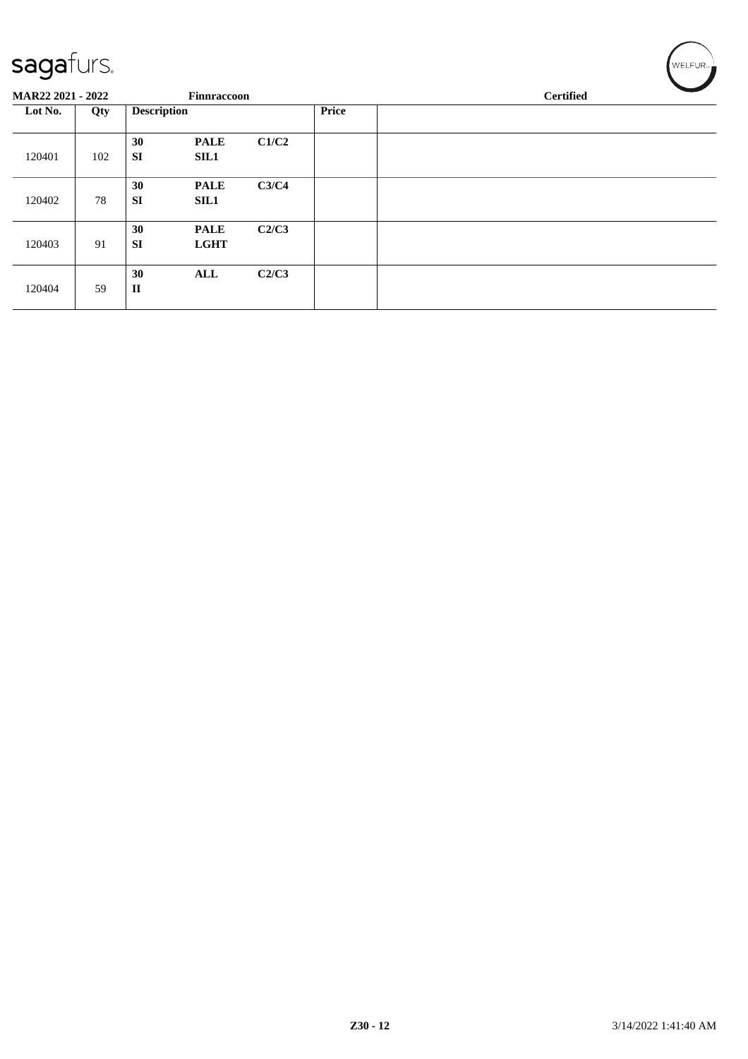| $     -$                 |     |                    |                            |       |              |                  |
|--------------------------|-----|--------------------|----------------------------|-------|--------------|------------------|
| <b>MAR22 2021 - 2022</b> |     |                    | Finnraccoon                |       |              | <b>Certified</b> |
| Lot No.                  | Qty | <b>Description</b> |                            |       | <b>Price</b> |                  |
| 120401                   | 102 | 30<br><b>SI</b>    | <b>PALE</b><br><b>SIL1</b> | C1/C2 |              |                  |
| 120402                   | 78  | 30<br><b>SI</b>    | <b>PALE</b><br><b>SIL1</b> | C3/C4 |              |                  |
| 120403                   | 91  | 30<br><b>SI</b>    | <b>PALE</b><br><b>LGHT</b> | C2/C3 |              |                  |
| 120404                   | 59  | 30<br>$\mathbf{I}$ | ALL                        | C2/C3 |              |                  |

 $\left(\mathsf{WELFUR}_{\approx}\right)$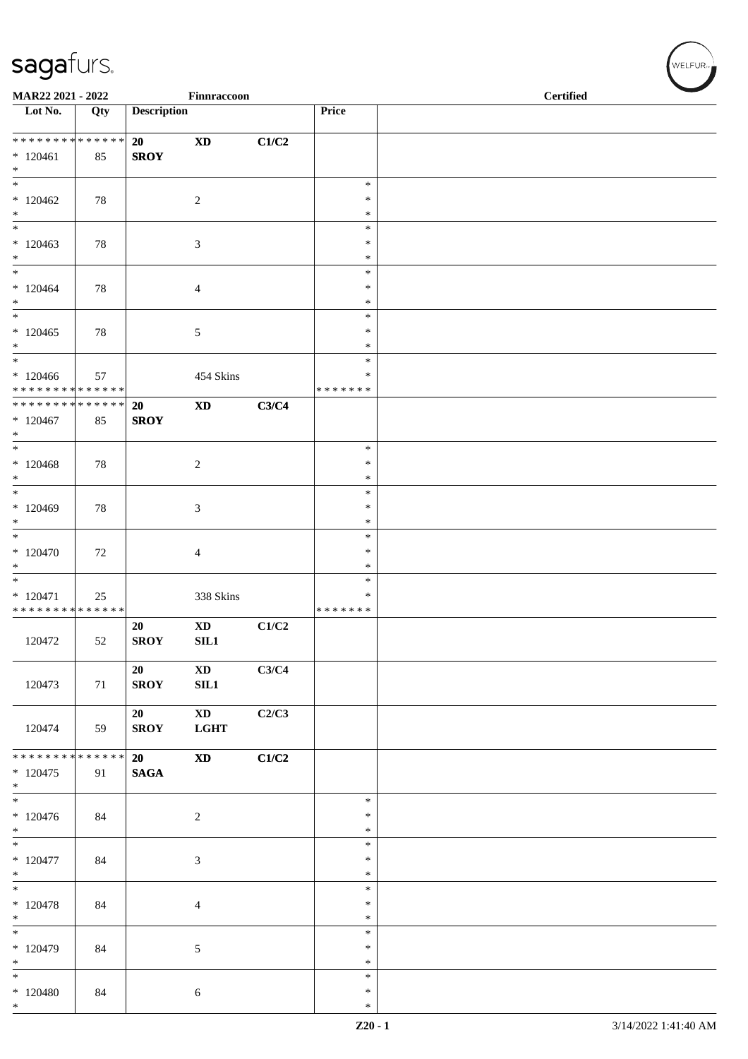| MAR22 2021 - 2022                                                    |     |                    | Finnraccoon                           |       |                                   | <b>Certified</b> |  |
|----------------------------------------------------------------------|-----|--------------------|---------------------------------------|-------|-----------------------------------|------------------|--|
| $\overline{\phantom{1}}$ Lot No.                                     | Qty | <b>Description</b> |                                       |       | Price                             |                  |  |
| ******** <mark>******</mark><br>$*120461$<br>$*$                     | 85  | 20<br><b>SROY</b>  | $\boldsymbol{\mathrm{XD}}$            | C1/C2 |                                   |                  |  |
| $*$<br>$*120462$<br>$\ast$                                           | 78  |                    | $\sqrt{2}$                            |       | $\ast$<br>$\ast$<br>$\ast$        |                  |  |
| $\ast$<br>$*120463$<br>$*$                                           | 78  |                    | 3                                     |       | $\ast$<br>*<br>$\ast$             |                  |  |
| $\overline{\ast}$<br>$*120464$<br>$\ast$                             | 78  |                    | $\overline{4}$                        |       | $\ast$<br>$\ast$<br>$\ast$        |                  |  |
| $*$<br>$*120465$<br>$\ast$                                           | 78  |                    | $5\,$                                 |       | $\ast$<br>$\ast$<br>$\ast$        |                  |  |
| $\overline{\phantom{0}}$<br>$*120466$<br>* * * * * * * * * * * * * * | 57  |                    | 454 Skins                             |       | $\ast$<br>∗<br>* * * * * * *      |                  |  |
| ******** <mark>******</mark><br>$*120467$<br>$*$                     | 85  | 20<br><b>SROY</b>  | $\mathbf{X}\mathbf{D}$                | C3/C4 |                                   |                  |  |
| $*$<br>$*120468$<br>$*$                                              | 78  |                    | $\sqrt{2}$                            |       | $\ast$<br>$\ast$<br>$\ast$        |                  |  |
| $\overline{\phantom{0}}$<br>$*120469$<br>$*$                         | 78  |                    | 3                                     |       | $\ast$<br>∗<br>$\ast$             |                  |  |
| $\overline{\ast}$<br>$*120470$<br>$\ast$                             | 72  |                    | $\overline{4}$                        |       | $\ast$<br>$\ast$<br>$\ast$        |                  |  |
| $*$<br>$*120471$<br>* * * * * * * * * * * * * *                      | 25  |                    | 338 Skins                             |       | $\ast$<br>$\ast$<br>* * * * * * * |                  |  |
| 120472                                                               | 52  | 20<br><b>SROY</b>  | <b>XD</b><br>SL1                      | C1/C2 |                                   |                  |  |
| 120473                                                               | 71  | 20<br><b>SROY</b>  | $\mathbf{X}\mathbf{D}$<br><b>SIL1</b> | C3/C4 |                                   |                  |  |
| 120474                                                               | 59  | 20<br><b>SROY</b>  | $\mathbf{X}\mathbf{D}$<br><b>LGHT</b> | C2/C3 |                                   |                  |  |
| * * * * * * * * * * * * * *<br>$*120475$<br>$*$                      | 91  | 20<br><b>SAGA</b>  | $\boldsymbol{\mathrm{XD}}$            | C1/C2 |                                   |                  |  |
| $\overline{\phantom{0}}$<br>$*120476$<br>$*$                         | 84  |                    | 2                                     |       | $\ast$<br>$\ast$<br>$\ast$        |                  |  |
| $\ast$<br>$*120477$<br>$*$<br>$\overline{\phantom{0}}$               | 84  |                    | 3                                     |       | $\ast$<br>$\ast$<br>$\ast$        |                  |  |
| $* 120478$<br>$\ast$                                                 | 84  |                    | $\overline{4}$                        |       | $\ast$<br>$\ast$<br>$\ast$        |                  |  |
| $\overline{\ast}$<br>$*120479$<br>$\ast$                             | 84  |                    | $\sqrt{5}$                            |       | $\ast$<br>$\ast$<br>$\ast$        |                  |  |
| $\ast$<br>$*120480$<br>$*$                                           | 84  |                    | $\sqrt{6}$                            |       | $\ast$<br>$\ast$<br>$\ast$        |                  |  |

WELFUR<sub>\*</sub>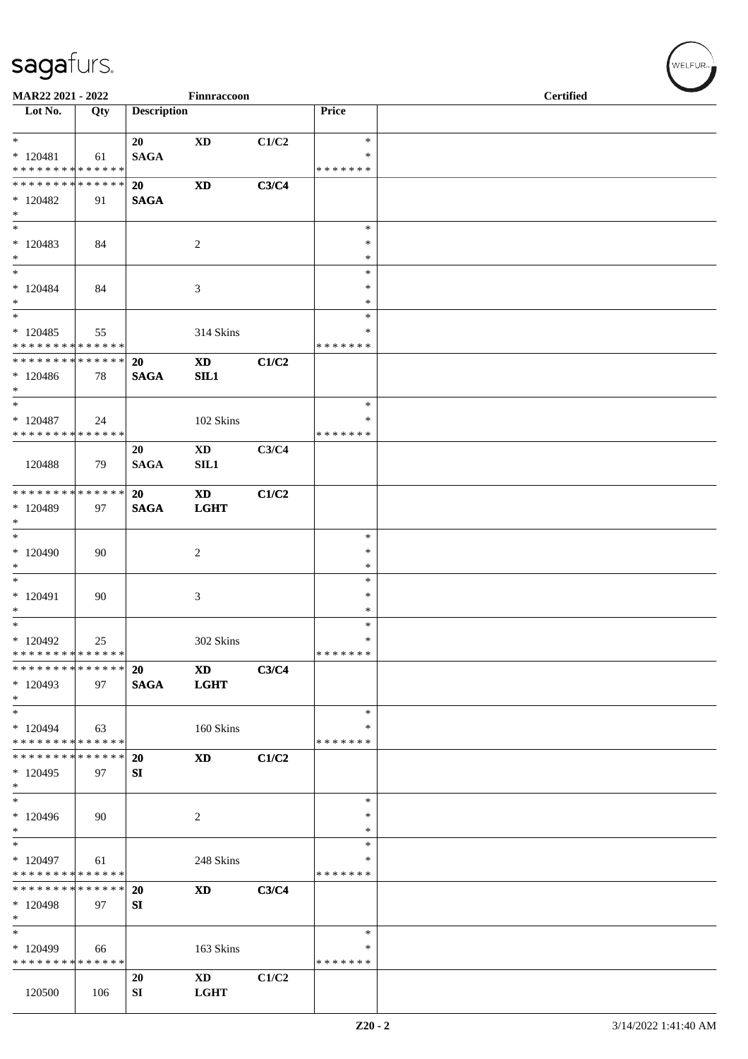| MAR22 2021 - 2022                  |     |                    | Finnraccoon                |       |                  | <b>Certified</b> |
|------------------------------------|-----|--------------------|----------------------------|-------|------------------|------------------|
| $\overline{\phantom{1}}$ Lot No.   | Qty | <b>Description</b> |                            |       | Price            |                  |
|                                    |     |                    |                            |       |                  |                  |
| $*$                                |     | 20                 | $\boldsymbol{\mathrm{XD}}$ | C1/C2 | $\ast$           |                  |
| $*120481$                          | 61  | <b>SAGA</b>        |                            |       | $\ast$           |                  |
| * * * * * * * * * * * * * *        |     |                    |                            |       | * * * * * * *    |                  |
| * * * * * * * * * * * * * *        |     | <b>20</b>          | $\mathbf{X}\mathbf{D}$     | C3/C4 |                  |                  |
| $*120482$                          | 91  | <b>SAGA</b>        |                            |       |                  |                  |
| $*$<br>$*$                         |     |                    |                            |       | $\ast$           |                  |
| $*120483$                          | 84  |                    | $\overline{c}$             |       | $\ast$           |                  |
| $*$                                |     |                    |                            |       | $\ast$           |                  |
| $*$                                |     |                    |                            |       | $\ast$           |                  |
| $* 120484$                         | 84  |                    | 3                          |       | $\ast$           |                  |
| $*$                                |     |                    |                            |       | *                |                  |
| $\overline{\phantom{1}}$           |     |                    |                            |       | $\ast$           |                  |
| $*120485$                          | 55  |                    | 314 Skins                  |       | ∗                |                  |
| * * * * * * * * * * * * * *        |     |                    |                            |       | * * * * * * *    |                  |
| * * * * * * * * * * * * * * *      |     | 20                 | <b>XD</b>                  | C1/C2 |                  |                  |
| $*120486$<br>$*$                   | 78  | <b>SAGA</b>        | SL1                        |       |                  |                  |
| $*$                                |     |                    |                            |       | $\ast$           |                  |
| $*120487$                          | 24  |                    | 102 Skins                  |       | $\ast$           |                  |
| * * * * * * * * * * * * * *        |     |                    |                            |       | * * * * * * *    |                  |
|                                    |     | 20                 | $\mathbf{X}\mathbf{D}$     | C3/C4 |                  |                  |
| 120488                             | 79  | <b>SAGA</b>        | SL1                        |       |                  |                  |
|                                    |     |                    |                            |       |                  |                  |
| * * * * * * * * * * * * * * *      |     | 20                 | <b>XD</b>                  | C1/C2 |                  |                  |
| $*120489$                          | 97  | <b>SAGA</b>        | <b>LGHT</b>                |       |                  |                  |
| $*$<br>$*$                         |     |                    |                            |       | $\ast$           |                  |
| * 120490                           | 90  |                    | 2                          |       | $\ast$           |                  |
| $\ast$                             |     |                    |                            |       | $\ast$           |                  |
|                                    |     |                    |                            |       | $\ast$           |                  |
| $* 120491$                         | 90  |                    | 3                          |       | ∗                |                  |
| $*$                                |     |                    |                            |       | $\ast$           |                  |
| $*$                                |     |                    |                            |       | $\ast$           |                  |
| $*120492$                          | 25  |                    | 302 Skins                  |       | $\ast$           |                  |
| * * * * * * * * * * * * * *        |     |                    |                            |       | *******          |                  |
| * * * * * * * * * * * * * *        |     | <b>20</b>          | $\boldsymbol{\mathrm{XD}}$ | C3/C4 |                  |                  |
| $*120493$<br>$*$                   | 97  | <b>SAGA</b>        | <b>LGHT</b>                |       |                  |                  |
| $*$                                |     |                    |                            |       | $\ast$           |                  |
| * 120494                           | 63  |                    | 160 Skins                  |       | ∗                |                  |
| * * * * * * * * * * * * * *        |     |                    |                            |       | * * * * * * *    |                  |
| * * * * * * * * * * * * * *        |     | <b>20</b>          | $\mathbf{X}\mathbf{D}$     | C1/C2 |                  |                  |
| $*120495$                          | 97  | SI                 |                            |       |                  |                  |
| $\ast$                             |     |                    |                            |       |                  |                  |
| $*$                                |     |                    |                            |       | $\ast$           |                  |
| $*120496$                          | 90  |                    | 2                          |       | $\ast$           |                  |
| $\ast$<br>$\overline{\phantom{0}}$ |     |                    |                            |       | $\ast$<br>$\ast$ |                  |
| $*120497$                          | 61  |                    | 248 Skins                  |       | ∗                |                  |
| * * * * * * * * * * * * * *        |     |                    |                            |       | * * * * * * *    |                  |
| * * * * * * * * * * * * * *        |     | 20                 | $\mathbf{X}\mathbf{D}$     | C3/C4 |                  |                  |
| $*120498$                          | 97  | SI                 |                            |       |                  |                  |
| $\ast$                             |     |                    |                            |       |                  |                  |
| $\ast$                             |     |                    |                            |       | $\ast$           |                  |
| $*120499$                          | 66  |                    | 163 Skins                  |       | $\ast$           |                  |
| * * * * * * * * * * * * * *        |     |                    |                            |       | * * * * * * *    |                  |
|                                    |     | 20                 | $\mathbf{X}\mathbf{D}$     | C1/C2 |                  |                  |
| 120500                             | 106 | ${\bf SI}$         | $_{\rm LGHT}$              |       |                  |                  |

 $w$ ELFUR<sub>m</sub>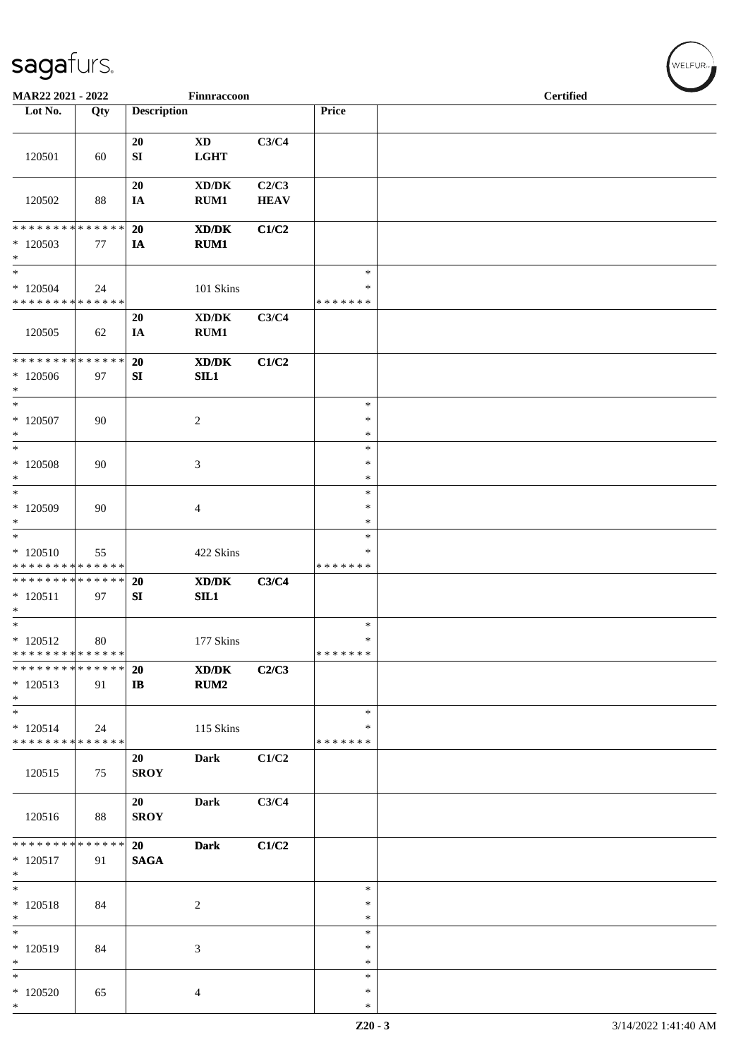| MAR22 2021 - 2022                                                       |                   |                           | Finnraccoon                                                                                                  |                      |                                   | <b>Certified</b> |
|-------------------------------------------------------------------------|-------------------|---------------------------|--------------------------------------------------------------------------------------------------------------|----------------------|-----------------------------------|------------------|
| Lot No.                                                                 | Qty               | <b>Description</b>        |                                                                                                              |                      | Price                             |                  |
| 120501                                                                  | 60                | 20<br>${\bf S}{\bf I}$    | $\boldsymbol{\mathrm{XD}}$<br>LGHT                                                                           | C3/C4                |                                   |                  |
| 120502                                                                  | 88                | 20<br>IA                  | $\bold{X}\bold{D}/\bold{D}\bold{K}$<br>RUM1                                                                  | C2/C3<br><b>HEAV</b> |                                   |                  |
| * * * * * * * * * * * * * *<br>$*120503$<br>$\ast$                      | 77                | 20<br>IA                  | $\boldsymbol{\text{X}}\boldsymbol{\text{D}}\boldsymbol{/}\boldsymbol{\text{D}}\boldsymbol{\text{K}}$<br>RUM1 | C1/C2                |                                   |                  |
| $\ast$<br>$*120504$<br>* * * * * * * * * * * * * *                      | 24                |                           | 101 Skins                                                                                                    |                      | $\ast$<br>$\ast$<br>* * * * * * * |                  |
| 120505                                                                  | 62                | 20<br>IA                  | $\bold{X}\bold{D}/\bold{D}\bold{K}$<br>RUM1                                                                  | C3/C4                |                                   |                  |
| * * * * * * * * * * * * * *<br>$*120506$<br>$\ast$                      | 97                | 20<br>SI                  | XD/DK<br>SL1                                                                                                 | C1/C2                |                                   |                  |
| $\ast$<br>$*120507$<br>$\ast$                                           | 90                |                           | $\sqrt{2}$                                                                                                   |                      | $\ast$<br>$\ast$<br>$\ast$        |                  |
| $\ast$<br>$*$ 120508<br>$\ast$                                          | 90                |                           | $\mathfrak{Z}$                                                                                               |                      | $\ast$<br>$\ast$<br>$\ast$        |                  |
| $\ast$<br>* 120509<br>$\ast$                                            | 90                |                           | $\overline{4}$                                                                                               |                      | $\ast$<br>$\ast$<br>$\ast$        |                  |
| $\ast$<br>$*120510$<br>* * * * * * * * * * * * * *                      | 55                |                           | 422 Skins                                                                                                    |                      | $\ast$<br>$\ast$<br>* * * * * * * |                  |
| * * * * * * * * * * * * * *<br>$* 120511$<br>$\ast$                     | 97                | 20<br>SI                  | XD/DK<br>SL1                                                                                                 | C3/C4                |                                   |                  |
| $\overline{\phantom{a}^*}$<br>$*120512$<br>******** <mark>******</mark> | 80                |                           | 177 Skins                                                                                                    |                      | $\ast$<br>$\ast$<br>*******       |                  |
| * * * * * * * *<br>$*120513$<br>$*$                                     | * * * * * *<br>91 | <b>20</b><br>$\mathbf{I}$ | $\boldsymbol{\text{X}}\boldsymbol{\text{D}}\boldsymbol{/}\boldsymbol{\text{D}}\boldsymbol{\text{K}}$<br>RUM2 | C2/C3                |                                   |                  |
| $\ast$<br>$* 120514$<br>* * * * * * * * * * * * * *                     | 24                |                           | 115 Skins                                                                                                    |                      | $\ast$<br>∗<br>* * * * * * *      |                  |
| 120515                                                                  | 75                | 20<br><b>SROY</b>         | <b>Dark</b>                                                                                                  | C1/C2                |                                   |                  |
| 120516                                                                  | 88                | 20<br><b>SROY</b>         | <b>Dark</b>                                                                                                  | C3/C4                |                                   |                  |
| * * * * * * * * * * * * * *<br>$* 120517$<br>$\ast$                     | 91                | 20<br><b>SAGA</b>         | <b>Dark</b>                                                                                                  | C1/C2                |                                   |                  |
| $\ast$<br>$* 120518$<br>$\ast$                                          | 84                |                           | $\sqrt{2}$                                                                                                   |                      | $\ast$<br>$\ast$<br>∗             |                  |
| $\overline{\phantom{a}^*}$<br>$* 120519$<br>$\ast$                      | 84                |                           | $\mathfrak{Z}$                                                                                               |                      | $\ast$<br>$\ast$<br>$\ast$        |                  |
| $\ast$<br>$*120520$<br>$\ast$                                           | 65                |                           | 4                                                                                                            |                      | $\ast$<br>$\ast$<br>$\ast$        |                  |

 $w$ ELFUR<sub>m</sub>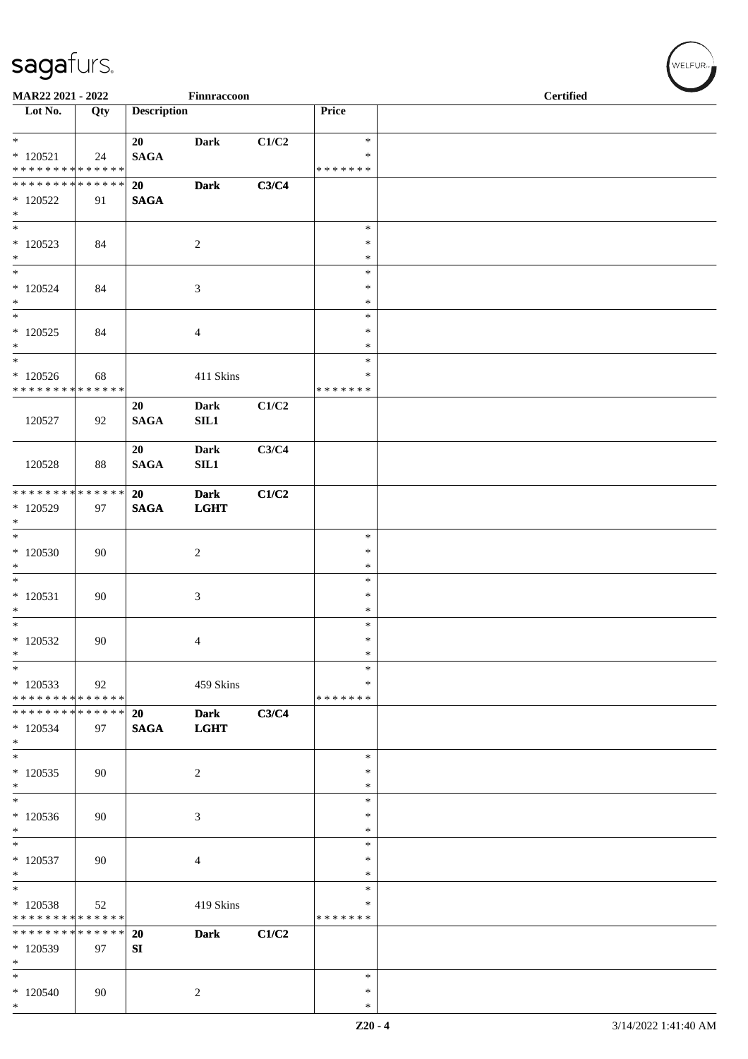| MAR22 2021 - 2022                                         |     |                    | Finnraccoon                |             |                                   | <b>Certified</b> |  |
|-----------------------------------------------------------|-----|--------------------|----------------------------|-------------|-----------------------------------|------------------|--|
| $\overline{\phantom{1}}$ Lot No.                          | Qty | <b>Description</b> |                            |             | Price                             |                  |  |
| $*$<br>$*120521$<br>* * * * * * * * * * * * * *           | 24  | 20<br><b>SAGA</b>  | <b>Dark</b>                | $\rm C1/C2$ | $\ast$<br>$\ast$<br>* * * * * * * |                  |  |
| * * * * * * * * * * * * * *<br>$*120522$<br>$\ast$        | 91  | 20<br><b>SAGA</b>  | <b>Dark</b>                | C3/C4       |                                   |                  |  |
| $*$<br>$*120523$<br>$\ast$                                | 84  |                    | $\sqrt{2}$                 |             | $\ast$<br>$\ast$<br>$\ast$        |                  |  |
| $\ast$<br>$*120524$<br>$\ast$<br>$\overline{\phantom{0}}$ | 84  |                    | 3                          |             | $\ast$<br>$\ast$<br>$\ast$        |                  |  |
| $*120525$<br>$*$<br>$*$                                   | 84  |                    | $\overline{4}$             |             | $\ast$<br>*<br>$\ast$             |                  |  |
| $*120526$<br>* * * * * * * * * * * * * *                  | 68  |                    | 411 Skins                  |             | $\ast$<br>$\ast$<br>* * * * * * * |                  |  |
| 120527                                                    | 92  | 20<br><b>SAGA</b>  | <b>Dark</b><br>SL1         | C1/C2       |                                   |                  |  |
| 120528                                                    | 88  | 20<br><b>SAGA</b>  | <b>Dark</b><br>SL1         | C3/C4       |                                   |                  |  |
| * * * * * * * * * * * * * * *<br>* 120529<br>$\ast$       | 97  | 20<br><b>SAGA</b>  | <b>Dark</b><br><b>LGHT</b> | C1/C2       |                                   |                  |  |
| $*$<br>$*120530$<br>$\ast$                                | 90  |                    | $\sqrt{2}$                 |             | $\ast$<br>$\ast$<br>$\ast$        |                  |  |
| $\overline{\phantom{0}}$<br>$*120531$<br>$\ast$           | 90  |                    | $\mathfrak{Z}$             |             | $\ast$<br>$\ast$<br>$\ast$        |                  |  |
| $\ast$<br>$*120532$<br>$\ast$                             | 90  |                    | $\overline{4}$             |             | $\ast$<br>$\ast$<br>$\ast$        |                  |  |
| $\ast$<br>$*120533$<br>* * * * * * * * * * * * * *        | 92  |                    | 459 Skins                  |             | $\ast$<br>$\ast$<br>* * * * * * * |                  |  |
| * * * * * * * * * * * * * *<br>* 120534<br>$\ast$         | 97  | 20<br><b>SAGA</b>  | <b>Dark</b><br><b>LGHT</b> | C3/C4       |                                   |                  |  |
| $*$<br>$*120535$<br>$\ast$                                | 90  |                    | $\overline{c}$             |             | $\ast$<br>*<br>*                  |                  |  |
| $\ast$<br>$*120536$<br>$\ast$                             | 90  |                    | 3                          |             | $\ast$<br>$\ast$<br>$\ast$        |                  |  |
| $\overline{\ast}$<br>$* 120537$<br>$\ast$                 | 90  |                    | $\overline{4}$             |             | $\ast$<br>*<br>∗                  |                  |  |
| $\ast$<br>$*120538$<br>* * * * * * * * * * * * * *        | 52  |                    | 419 Skins                  |             | $\ast$<br>*<br>* * * * * * *      |                  |  |
| * * * * * * * * * * * * * *<br>$*120539$<br>$\ast$        | 97  | 20<br>${\bf SI}$   | <b>Dark</b>                | C1/C2       |                                   |                  |  |
| $\ast$<br>$*120540$<br>$\ast$                             | 90  |                    | 2                          |             | $\ast$<br>∗<br>$\ast$             |                  |  |

 $w$ ELFUR-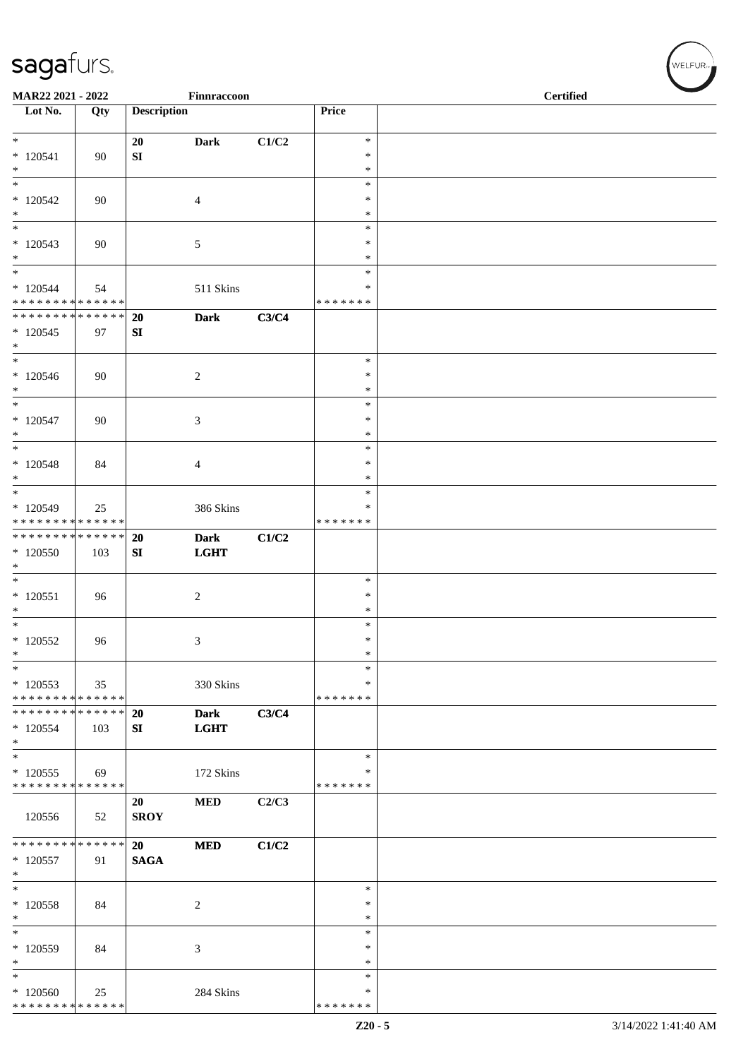| MAR22 2021 - 2022                          |     |                    | Finnraccoon                |       |                    | <b>Certified</b> |  |
|--------------------------------------------|-----|--------------------|----------------------------|-------|--------------------|------------------|--|
| Lot No.                                    | Qty | <b>Description</b> |                            |       | Price              |                  |  |
| $\overline{\ast}$                          |     | 20                 | <b>Dark</b>                | C1/C2 | $\ast$             |                  |  |
| $*120541$                                  | 90  | ${\bf SI}$         |                            |       | $\ast$             |                  |  |
| $\ast$                                     |     |                    |                            |       | $\ast$             |                  |  |
| $\overline{\ast}$<br>$*120542$             | 90  |                    | $\overline{4}$             |       | $\ast$<br>$\ast$   |                  |  |
| $\ast$                                     |     |                    |                            |       | $\ast$             |                  |  |
| $\ast$                                     |     |                    |                            |       | $\ast$             |                  |  |
| $*120543$<br>$\ast$                        | 90  |                    | $\sqrt{5}$                 |       | $\ast$<br>$\ast$   |                  |  |
| $\ast$                                     |     |                    |                            |       | $\ast$             |                  |  |
| $*120544$<br>* * * * * * * * * * * * * *   | 54  |                    | 511 Skins                  |       | ∗<br>* * * * * * * |                  |  |
| * * * * * * * * * * * * * *                |     | 20                 | <b>Dark</b>                | C3/C4 |                    |                  |  |
| $*120545$                                  | 97  | SI                 |                            |       |                    |                  |  |
| $\ast$<br>$\ast$                           |     |                    |                            |       | $\ast$             |                  |  |
| $*120546$                                  | 90  |                    | $\sqrt{2}$                 |       | $\ast$             |                  |  |
| $\ast$                                     |     |                    |                            |       | $\ast$             |                  |  |
| $*$                                        |     |                    |                            |       | $\ast$<br>*        |                  |  |
| $* 120547$<br>$*$                          | 90  |                    | $\mathfrak{Z}$             |       | $\ast$             |                  |  |
| $\overline{\ast}$                          |     |                    |                            |       | $\ast$             |                  |  |
| $*120548$                                  | 84  |                    | $\overline{4}$             |       | $\ast$             |                  |  |
| $*$<br>$*$                                 |     |                    |                            |       | $\ast$<br>$\ast$   |                  |  |
| $*120549$                                  | 25  |                    | 386 Skins                  |       | $\ast$             |                  |  |
| * * * * * * * * * * * * * *                |     |                    |                            |       | * * * * * * *      |                  |  |
| ******** <mark>******</mark><br>* 120550   | 103 | 20<br>SI           | <b>Dark</b><br><b>LGHT</b> | C1/C2 |                    |                  |  |
| $\ast$                                     |     |                    |                            |       |                    |                  |  |
| $\ast$                                     |     |                    |                            |       | $\ast$             |                  |  |
| $*120551$<br>$\ast$                        | 96  |                    | $\sqrt{2}$                 |       | $\ast$<br>$\ast$   |                  |  |
| $*$                                        |     |                    |                            |       | $\ast$             |                  |  |
| $*120552$                                  | 96  |                    | 3                          |       | $\ast$             |                  |  |
| $\ast$<br>$\ast$                           |     |                    |                            |       | $\ast$<br>$\ast$   |                  |  |
| $*120553$                                  | 35  |                    | 330 Skins                  |       | ∗                  |                  |  |
| * * * * * * * * * * * * * *                |     |                    |                            |       | * * * * * * *      |                  |  |
| * * * * * * * * * * * * * * *<br>$*120554$ | 103 | 20<br>SI           | <b>Dark</b><br><b>LGHT</b> | C3/C4 |                    |                  |  |
| $*$                                        |     |                    |                            |       |                    |                  |  |
| $\ast$                                     |     |                    |                            |       | $\ast$             |                  |  |
| $*120555$<br>* * * * * * * * * * * * * *   | 69  |                    | 172 Skins                  |       | ∗<br>* * * * * * * |                  |  |
|                                            |     | 20                 | <b>MED</b>                 | C2/C3 |                    |                  |  |
| 120556                                     | 52  | <b>SROY</b>        |                            |       |                    |                  |  |
| * * * * * * * * * * * * * *                |     | 20                 | <b>MED</b>                 | C1/C2 |                    |                  |  |
| $*120557$                                  | 91  | <b>SAGA</b>        |                            |       |                    |                  |  |
| $\ast$                                     |     |                    |                            |       |                    |                  |  |
| $\ast$<br>* 120558                         |     |                    |                            |       | ∗<br>∗             |                  |  |
| $\ast$                                     | 84  |                    | 2                          |       | $\ast$             |                  |  |
| $\ast$                                     |     |                    |                            |       | $\ast$             |                  |  |
| * 120559<br>$\ast$                         | 84  |                    | 3                          |       | $\ast$<br>*        |                  |  |
| $\ast$                                     |     |                    |                            |       | $\ast$             |                  |  |
| $*120560$                                  | 25  |                    | 284 Skins                  |       | ∗                  |                  |  |
| * * * * * * * * * * * * * *                |     |                    |                            |       | * * * * * * *      |                  |  |

WELFUR<sub><sup>N</sub></sub></sub></sup>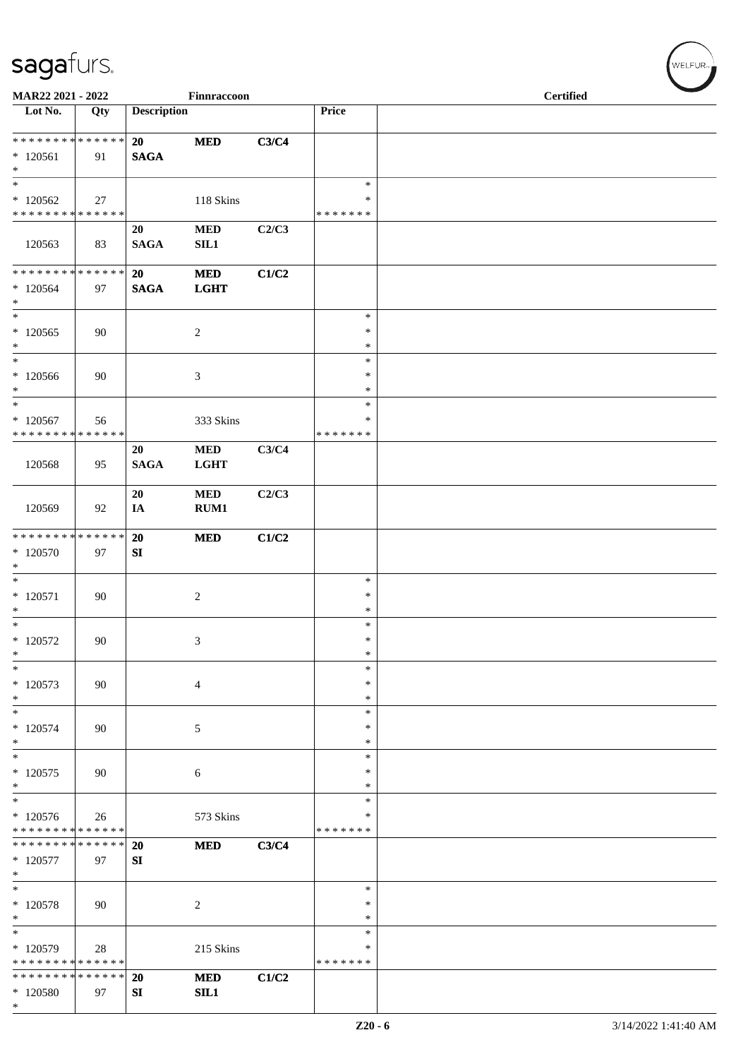| MAR22 2021 - 2022                                          |     |                    | Finnraccoon       |       |                    | <b>Certified</b> |  |  |  |
|------------------------------------------------------------|-----|--------------------|-------------------|-------|--------------------|------------------|--|--|--|
| Lot No.                                                    | Qty | <b>Description</b> |                   |       | Price              |                  |  |  |  |
| ******** <mark>******</mark>                               |     | 20                 | $\bf MED$         | C3/C4 |                    |                  |  |  |  |
| $*120561$<br>$\ast$                                        | 91  | <b>SAGA</b>        |                   |       |                    |                  |  |  |  |
| $\ast$                                                     |     |                    |                   |       | $\ast$             |                  |  |  |  |
| $*120562$                                                  | 27  |                    | 118 Skins         |       | $\ast$             |                  |  |  |  |
| ******** <mark>******</mark>                               |     | 20                 | <b>MED</b>        | C2/C3 | * * * * * * *      |                  |  |  |  |
| 120563                                                     | 83  | <b>SAGA</b>        | SL1               |       |                    |                  |  |  |  |
| * * * * * * * * * * * * * *                                |     | 20                 | $\bf MED$         | C1/C2 |                    |                  |  |  |  |
| $*120564$<br>$\ast$                                        | 97  | <b>SAGA</b>        | <b>LGHT</b>       |       |                    |                  |  |  |  |
| $\ast$                                                     |     |                    |                   |       | $\ast$             |                  |  |  |  |
| $*120565$<br>$\ast$                                        | 90  |                    | $\overline{2}$    |       | ∗<br>$\ast$        |                  |  |  |  |
| $\ast$                                                     |     |                    |                   |       | $\ast$             |                  |  |  |  |
| $*120566$                                                  | 90  |                    | $\mathfrak{Z}$    |       | $\ast$             |                  |  |  |  |
| $\ast$                                                     |     |                    |                   |       | $\ast$             |                  |  |  |  |
| $\ast$<br>$*120567$                                        |     |                    | 333 Skins         |       | $\ast$<br>∗        |                  |  |  |  |
| * * * * * * * * * * * * * *                                | 56  |                    |                   |       | * * * * * * *      |                  |  |  |  |
|                                                            |     | 20                 | $\bf MED$         | C3/C4 |                    |                  |  |  |  |
| 120568                                                     | 95  | <b>SAGA</b>        | <b>LGHT</b>       |       |                    |                  |  |  |  |
|                                                            |     | 20                 | <b>MED</b>        | C2/C3 |                    |                  |  |  |  |
| 120569                                                     | 92  | IA                 | RUM1              |       |                    |                  |  |  |  |
| * * * * * * * * * * * * * *                                |     | 20                 | <b>MED</b>        | C1/C2 |                    |                  |  |  |  |
| $*120570$                                                  | 97  | SI                 |                   |       |                    |                  |  |  |  |
| $\ast$                                                     |     |                    |                   |       |                    |                  |  |  |  |
| $\ast$<br>$*120571$                                        | 90  |                    | $\sqrt{2}$        |       | $\ast$<br>∗        |                  |  |  |  |
| $\ast$                                                     |     |                    |                   |       | $\ast$             |                  |  |  |  |
| $\ast$                                                     |     |                    |                   |       | $\ast$             |                  |  |  |  |
| $*120572$                                                  | 90  |                    | $\mathfrak{Z}$    |       | $\ast$             |                  |  |  |  |
| $\ast$<br>$\ast$                                           |     |                    |                   |       | $\ast$<br>$\ast$   |                  |  |  |  |
| $*120573$                                                  | 90  |                    | $\overline{4}$    |       | ∗                  |                  |  |  |  |
| $\ast$                                                     |     |                    |                   |       | $\ast$             |                  |  |  |  |
| $\ast$                                                     |     |                    |                   |       | $\ast$             |                  |  |  |  |
| $*120574$<br>$*$                                           | 90  |                    | 5                 |       | *<br>$\ast$        |                  |  |  |  |
| $*$                                                        |     |                    |                   |       | $\ast$             |                  |  |  |  |
| $*120575$                                                  | 90  |                    | 6                 |       | $\ast$             |                  |  |  |  |
| $\ast$                                                     |     |                    |                   |       | ∗                  |                  |  |  |  |
| $\ast$                                                     |     |                    |                   |       | *                  |                  |  |  |  |
| $*120576$<br>* * * * * * * * * * * * * *                   | 26  |                    | 573 Skins         |       | *<br>* * * * * * * |                  |  |  |  |
| * * * * * * * * * * * * * *                                |     | <b>20</b>          | <b>MED</b>        | C3/C4 |                    |                  |  |  |  |
| $*120577$                                                  | 97  | SI                 |                   |       |                    |                  |  |  |  |
| $\ast$<br>$\ast$                                           |     |                    |                   |       |                    |                  |  |  |  |
| $*120578$                                                  | 90  |                    | $\overline{c}$    |       | $\ast$<br>*        |                  |  |  |  |
| $\ast$                                                     |     |                    |                   |       | ∗                  |                  |  |  |  |
| $\ast$                                                     |     |                    |                   |       | $\ast$             |                  |  |  |  |
| * 120579                                                   | 28  |                    | 215 Skins         |       | *                  |                  |  |  |  |
| * * * * * * * * * * * * * *<br>* * * * * * * * * * * * * * |     |                    |                   |       | * * * * * * *      |                  |  |  |  |
| * 120580                                                   | 97  | 20<br>SI           | <b>MED</b><br>SL1 | C1/C2 |                    |                  |  |  |  |
| $\ast$                                                     |     |                    |                   |       |                    |                  |  |  |  |

WELFUR<sub>\*</sub>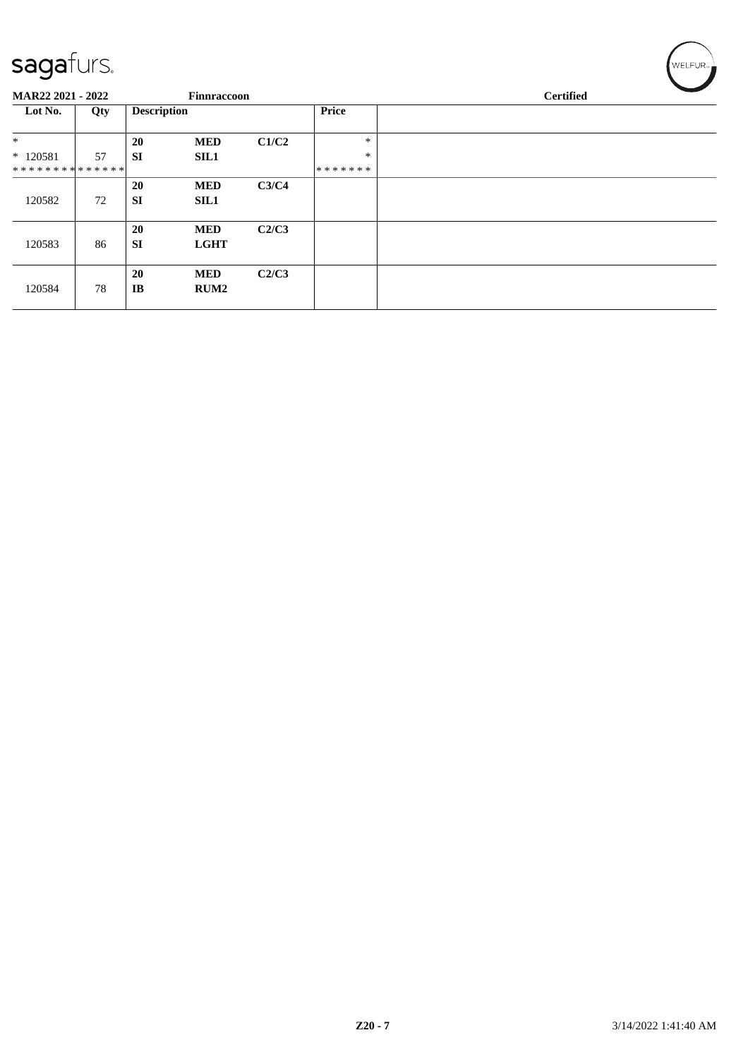| ت<br><b>MAR22 2021 - 2022</b> |     |                        | Finnraccoon               |       |                         | <b>Certified</b> |  |
|-------------------------------|-----|------------------------|---------------------------|-------|-------------------------|------------------|--|
| Lot No.                       | Qty | <b>Description</b>     |                           |       | Price                   |                  |  |
| $\ast$                        |     | <b>20</b>              | <b>MED</b>                | C1/C2 | $\ast$                  |                  |  |
| $*120581$<br>**************   | 57  | <b>SI</b>              | <b>SIL1</b>               |       | $\ast$<br>* * * * * * * |                  |  |
| 120582                        | 72  | 20<br><b>SI</b>        | <b>MED</b><br><b>SIL1</b> | C3/C4 |                         |                  |  |
| 120583                        | 86  | <b>20</b><br><b>SI</b> | <b>MED</b><br><b>LGHT</b> | C2/C3 |                         |                  |  |
| 120584                        | 78  | 20<br>IB               | <b>MED</b><br><b>RUM2</b> | C2/C3 |                         |                  |  |

 $w$ ELFUR<sub>m</sub>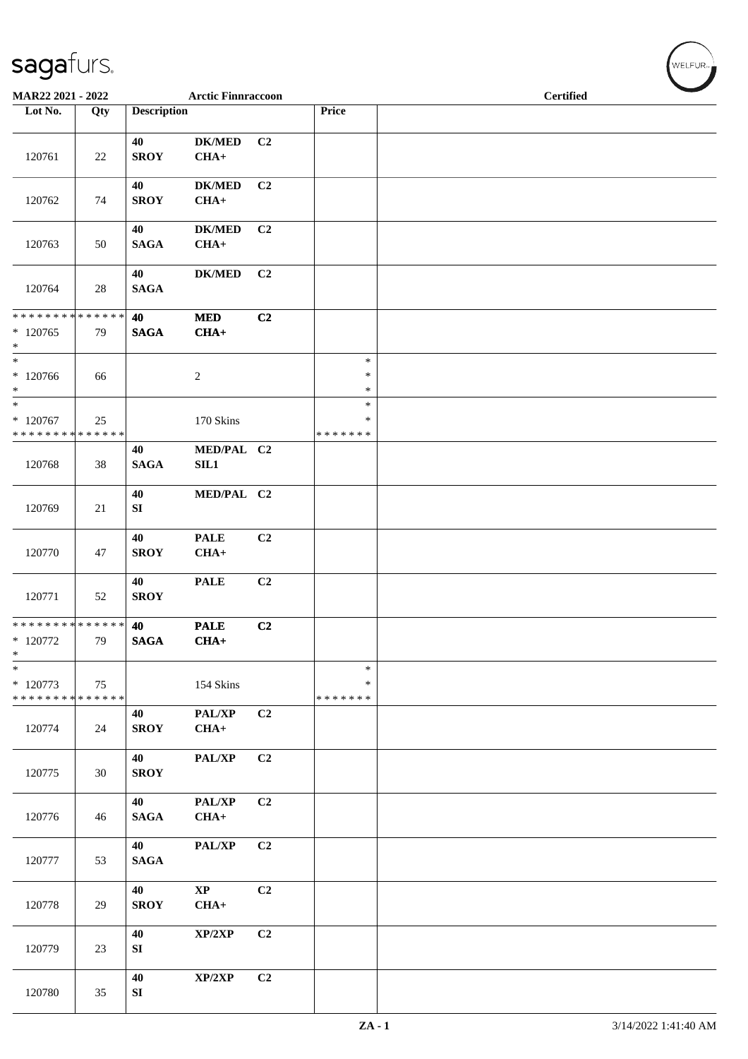| MAR22 2021 - 2022                                   |     |                        | <b>Arctic Finnraccoon</b> |                |                              | <b>Certified</b> |  |  |  |
|-----------------------------------------------------|-----|------------------------|---------------------------|----------------|------------------------------|------------------|--|--|--|
| Lot No.                                             | Qty | <b>Description</b>     |                           |                | Price                        |                  |  |  |  |
| 120761                                              | 22  | 40<br><b>SROY</b>      | <b>DK/MED</b><br>$CHA+$   | C <sub>2</sub> |                              |                  |  |  |  |
| 120762                                              | 74  | 40<br><b>SROY</b>      | <b>DK/MED</b><br>$CHA+$   | C2             |                              |                  |  |  |  |
| 120763                                              | 50  | 40<br><b>SAGA</b>      | <b>DK/MED</b><br>$CHA+$   | C2             |                              |                  |  |  |  |
| 120764                                              | 28  | 40<br><b>SAGA</b>      | <b>DK/MED</b>             | C2             |                              |                  |  |  |  |
| ******** <mark>******</mark><br>$*120765$<br>$\ast$ | 79  | 40<br><b>SAGA</b>      | <b>MED</b><br>$CHA+$      | C2             |                              |                  |  |  |  |
| $*$<br>* 120766<br>$*$                              | 66  |                        | 2                         |                | $\ast$<br>$\ast$<br>$\ast$   |                  |  |  |  |
| $*$<br>$*120767$<br>* * * * * * * * * * * * * *     | 25  |                        | 170 Skins                 |                | $\ast$<br>*<br>* * * * * * * |                  |  |  |  |
| 120768                                              | 38  | 40<br><b>SAGA</b>      | MED/PAL C2<br>SIL1        |                |                              |                  |  |  |  |
| 120769                                              | 21  | 40<br>SI               | MED/PAL C2                |                |                              |                  |  |  |  |
| 120770                                              | 47  | 40<br><b>SROY</b>      | <b>PALE</b><br>$CHA+$     | C2             |                              |                  |  |  |  |
| 120771                                              | 52  | 40<br><b>SROY</b>      | <b>PALE</b>               | C2             |                              |                  |  |  |  |
| ************** 40<br>$*$ 120772<br>$\ast$           | 79  | <b>SAGA</b>            | <b>PALE</b><br>$CHA+$     | C2             |                              |                  |  |  |  |
| $\ast$<br>$*120773$<br>* * * * * * * * * * * * * *  | 75  |                        | 154 Skins                 |                | $\ast$<br>∗<br>* * * * * * * |                  |  |  |  |
| 120774                                              | 24  | 40<br><b>SROY</b>      | PAL/XP<br>$CHA+$          | C2             |                              |                  |  |  |  |
| 120775                                              | 30  | 40<br><b>SROY</b>      | PAL/XP                    | C2             |                              |                  |  |  |  |
| 120776                                              | 46  | 40<br><b>SAGA</b>      | PAL/XP<br>$CHA+$          | C2             |                              |                  |  |  |  |
| 120777                                              | 53  | 40<br><b>SAGA</b>      | PAL/XP                    | C2             |                              |                  |  |  |  |
| 120778                                              | 29  | 40<br><b>SROY</b>      | $\mathbf{XP}$<br>$CHA+$   | C2             |                              |                  |  |  |  |
| 120779                                              | 23  | 40<br>${\bf SI}$       | XP/2XP                    | C <sub>2</sub> |                              |                  |  |  |  |
| 120780                                              | 35  | 40<br>${\bf S}{\bf I}$ | XP/2XP                    | C2             |                              |                  |  |  |  |

 $\left(\bigvee_{w \in \text{LFUR}_{\text{reg}}}$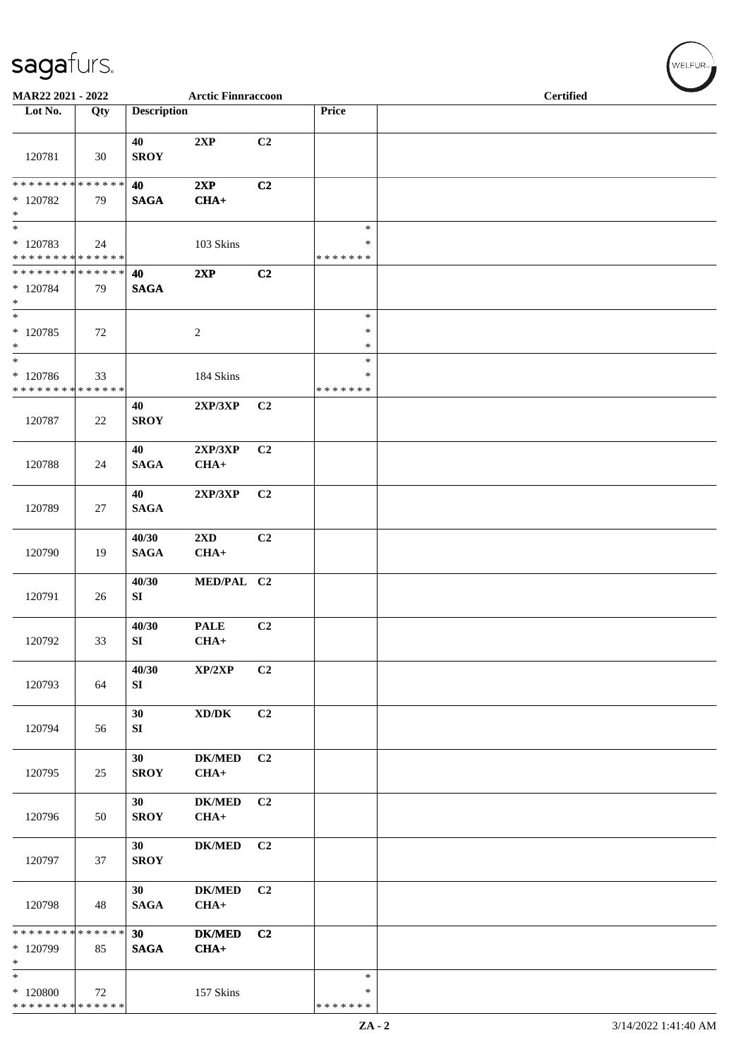| MAR22 2021 - 2022                                                    |     |                       | <b>Arctic Finnraccoon</b>           |                |                                   | <b>Certified</b> |
|----------------------------------------------------------------------|-----|-----------------------|-------------------------------------|----------------|-----------------------------------|------------------|
| Lot No.                                                              | Qty | <b>Description</b>    |                                     |                | Price                             |                  |
| 120781                                                               | 30  | 40<br><b>SROY</b>     | 2XP                                 | C2             |                                   |                  |
| ******** <mark>******</mark><br>$*120782$<br>$\ast$                  | 79  | 40<br><b>SAGA</b>     | 2XP<br>$CHA+$                       | C2             |                                   |                  |
| $\overline{\phantom{1}}$<br>$*120783$<br>* * * * * * * * * * * * * * | 24  |                       | 103 Skins                           |                | $\ast$<br>$\ast$<br>* * * * * * * |                  |
| **************<br>* 120784<br>$\ast$                                 | 79  | 40<br><b>SAGA</b>     | 2XP                                 | C2             |                                   |                  |
| $\overline{\phantom{a}^*}$<br>$*120785$<br>$\ast$                    | 72  |                       | $\sqrt{2}$                          |                | $\ast$<br>$\ast$<br>$\ast$        |                  |
| $\overline{\ast}$<br>$*120786$<br>* * * * * * * * * * * * * *        | 33  |                       | 184 Skins                           |                | $\ast$<br>∗<br>* * * * * * *      |                  |
| 120787                                                               | 22  | 40<br><b>SROY</b>     | 2XP/3XP                             | C <sub>2</sub> |                                   |                  |
| 120788                                                               | 24  | 40<br>$\mathbf{SAGA}$ | 2XP/3XP<br>$CHA+$                   | C2             |                                   |                  |
| 120789                                                               | 27  | 40<br>$\mathbf{SAGA}$ | 2XP/3XP                             | C2             |                                   |                  |
| 120790                                                               | 19  | 40/30<br><b>SAGA</b>  | 2XD<br>$CHA+$                       | C <sub>2</sub> |                                   |                  |
| 120791                                                               | 26  | 40/30<br>SI           | MED/PAL C2                          |                |                                   |                  |
| 120792                                                               | 33  | 40/30<br>SI           | <b>PALE</b><br>$CHA+$               | C2             |                                   |                  |
| 120793                                                               | 64  | 40/30<br>SI           | XP/2XP                              | C2             |                                   |                  |
| 120794                                                               | 56  | 30<br>SI              | $\bold{X}\bold{D}/\bold{D}\bold{K}$ | C2             |                                   |                  |
| 120795                                                               | 25  | 30<br><b>SROY</b>     | <b>DK/MED</b><br>$CHA+$             | C2             |                                   |                  |
| 120796                                                               | 50  | 30<br><b>SROY</b>     | <b>DK/MED</b><br>$CHA+$             | C2             |                                   |                  |
| 120797                                                               | 37  | 30<br><b>SROY</b>     | <b>DK/MED</b>                       | C2             |                                   |                  |
| 120798                                                               | 48  | 30<br><b>SAGA</b>     | <b>DK/MED</b><br>$CHA+$             | C2             |                                   |                  |
| * * * * * * * * * * * * * *<br>* 120799<br>$\ast$                    | 85  | 30<br><b>SAGA</b>     | <b>DK/MED</b><br>$CHA+$             | C <sub>2</sub> |                                   |                  |
| $\ast$<br>$*120800$<br>* * * * * * * * * * * * * *                   | 72  |                       | 157 Skins                           |                | $\ast$<br>*<br>* * * * * * *      |                  |
|                                                                      |     |                       |                                     |                |                                   |                  |

 $\left(\begin{smallmatrix} \mathsf{WELFLR}_{\mathbb{W}}\end{smallmatrix}\right)$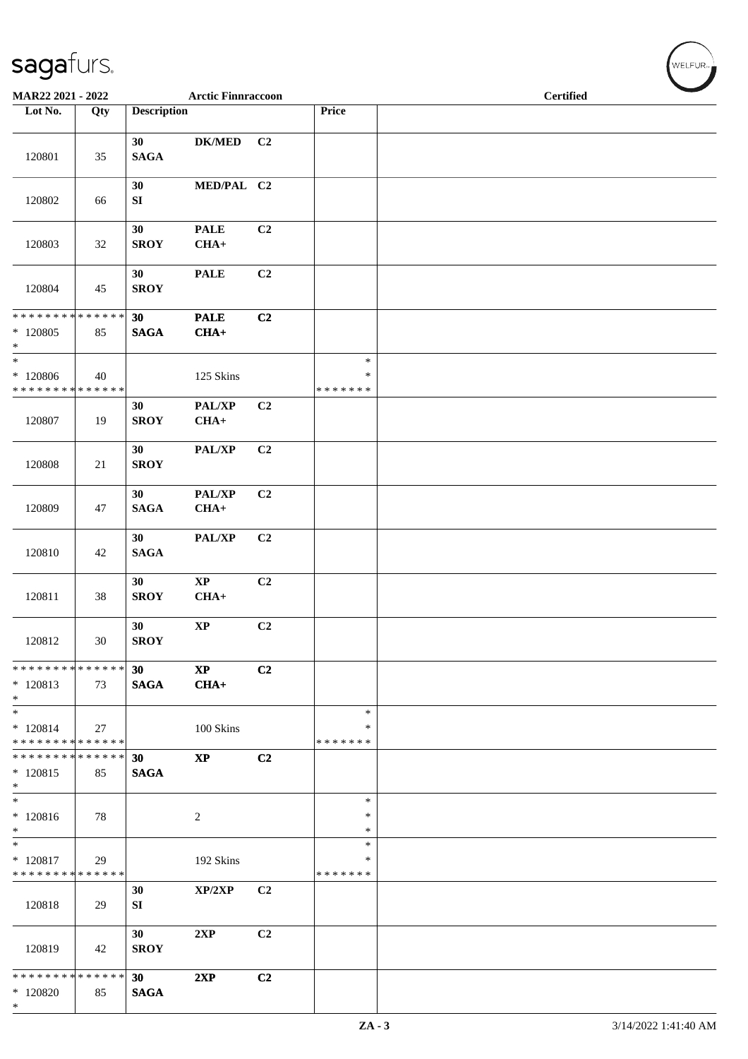| MAR22 2021 - 2022                                                    |     |                                | <b>Arctic Finnraccoon</b>        |                |                                   | <b>Certified</b> |
|----------------------------------------------------------------------|-----|--------------------------------|----------------------------------|----------------|-----------------------------------|------------------|
| Lot No.                                                              | Qty | <b>Description</b>             |                                  |                | Price                             |                  |
| 120801                                                               | 35  | 30<br><b>SAGA</b>              | <b>DK/MED</b>                    | C <sub>2</sub> |                                   |                  |
| 120802                                                               | 66  | 30<br>${\bf SI}$               | MED/PAL C2                       |                |                                   |                  |
| 120803                                                               | 32  | 30<br><b>SROY</b>              | <b>PALE</b><br>$CHA+$            | C2             |                                   |                  |
| 120804                                                               | 45  | 30<br><b>SROY</b>              | <b>PALE</b>                      | C <sub>2</sub> |                                   |                  |
| * * * * * * * * * * * * * *<br>$*$ 120805<br>$\ast$                  | 85  | 30<br><b>SAGA</b>              | <b>PALE</b><br>$CHA+$            | C2             |                                   |                  |
| $\overline{\phantom{0}}$<br>$*120806$<br>* * * * * * * * * * * * * * | 40  |                                | 125 Skins                        |                | $\ast$<br>$\ast$<br>* * * * * * * |                  |
| 120807                                                               | 19  | 30<br><b>SROY</b>              | PAL/XP<br>$CHA+$                 | C <sub>2</sub> |                                   |                  |
| 120808                                                               | 21  | 30<br><b>SROY</b>              | PAL/XP                           | C2             |                                   |                  |
| 120809                                                               | 47  | 30<br>$\mathbf{SAGA}$          | PAL/XP<br>$CHA+$                 | C2             |                                   |                  |
| 120810                                                               | 42  | 30<br>$\mathbf{SAGA}$          | PAL/XP                           | C2             |                                   |                  |
| 120811                                                               | 38  | 30<br><b>SROY</b>              | $\bold{XP}$<br>$CHA+$            | C2             |                                   |                  |
| 120812                                                               | 30  | 30<br><b>SROY</b>              | $\bold{XP}$                      | C2             |                                   |                  |
| * * * * * * * * * * * * * * *<br>$*120813$<br>$*$                    | 73  | 30 <sup>7</sup><br><b>SAGA</b> | $\mathbf{X}\mathbf{P}$<br>$CHA+$ | C <sub>2</sub> |                                   |                  |
| $*$<br>$* 120814$<br>* * * * * * * * * * * * * *                     | 27  |                                | 100 Skins                        |                | $\ast$<br>*<br>* * * * * * *      |                  |
| * * * * * * * * * * * * * * *<br>$*120815$<br>$*$                    | 85  | 30<br><b>SAGA</b>              | $\bold{XP}$                      | C2             |                                   |                  |
| $*$<br>$* 120816$<br>$*$ $*$                                         | 78  |                                | 2                                |                | $\ast$<br>∗<br>$\ast$             |                  |
| $*$<br>$*$ 120817<br>* * * * * * * * * * * * * * *                   | 29  |                                | 192 Skins                        |                | $\ast$<br>*<br>* * * * * * *      |                  |
| 120818                                                               | 29  | 30<br>SI                       | XP/2XP                           | C <sub>2</sub> |                                   |                  |
| 120819                                                               | 42  | 30<br><b>SROY</b>              | 2XP                              | C2             |                                   |                  |
| * * * * * * * * * * * * * * *<br>$*120820$<br>$*$                    | 85  | 30 <sub>o</sub><br><b>SAGA</b> | 2XP                              | C <sub>2</sub> |                                   |                  |

WELFUR<sub><sup>N</sup></sub>